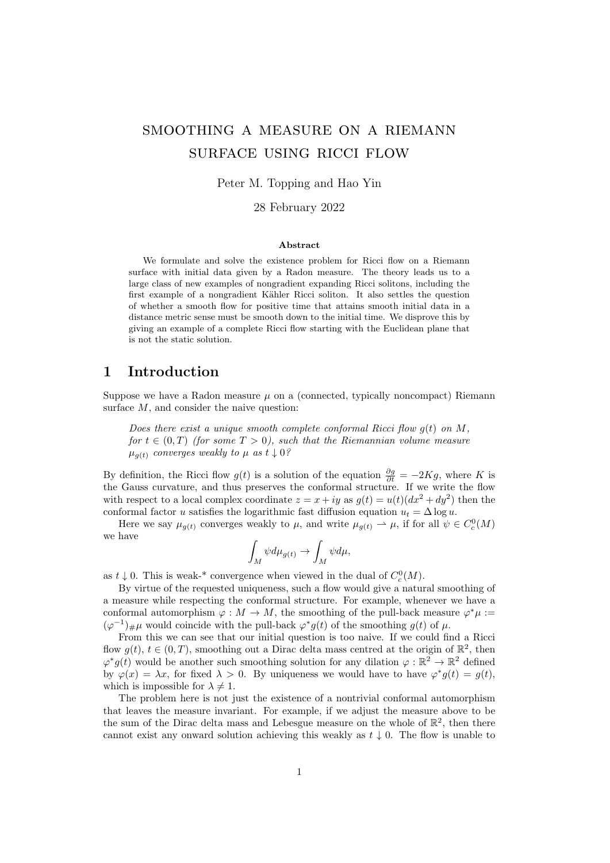# smoothing a measure on a riemann surface using ricci flow

## Peter M. Topping and Hao Yin

### 28 February 2022

#### Abstract

We formulate and solve the existence problem for Ricci flow on a Riemann surface with initial data given by a Radon measure. The theory leads us to a large class of new examples of nongradient expanding Ricci solitons, including the first example of a nongradient Kähler Ricci soliton. It also settles the question of whether a smooth flow for positive time that attains smooth initial data in a distance metric sense must be smooth down to the initial time. We disprove this by giving an example of a complete Ricci flow starting with the Euclidean plane that is not the static solution.

## 1 Introduction

Suppose we have a Radon measure  $\mu$  on a (connected, typically noncompact) Riemann surface  $M$ , and consider the naive question:

Does there exist a unique smooth complete conformal Ricci flow  $q(t)$  on M, for  $t \in (0,T)$  (for some  $T > 0$ ), such that the Riemannian volume measure  $\mu_{q(t)}$  converges weakly to  $\mu$  as  $t \downarrow 0$ ?

By definition, the Ricci flow  $g(t)$  is a solution of the equation  $\frac{\partial g}{\partial t} = -2Kg$ , where K is the Gauss curvature, and thus preserves the conformal structure. If we write the flow with respect to a local complex coordinate  $z = x + iy$  as  $g(t) = u(t)(dx^2 + dy^2)$  then the conformal factor u satisfies the logarithmic fast diffusion equation  $u_t = \Delta \log u$ .

Here we say  $\mu_{g(t)}$  converges weakly to  $\mu$ , and write  $\mu_{g(t)} \to \mu$ , if for all  $\psi \in C_c^0(M)$ we have

$$
\int_M \psi d\mu_{g(t)} \to \int_M \psi d\mu,
$$

as  $t \downarrow 0$ . This is weak-\* convergence when viewed in the dual of  $C_c^0(M)$ .

By virtue of the requested uniqueness, such a flow would give a natural smoothing of a measure while respecting the conformal structure. For example, whenever we have a conformal automorphism  $\varphi : M \to M$ , the smoothing of the pull-back measure  $\varphi^* \mu :=$  $(\varphi^{-1})_{\#}\mu$  would coincide with the pull-back  $\varphi^*g(t)$  of the smoothing  $g(t)$  of  $\mu$ .

From this we can see that our initial question is too naive. If we could find a Ricci flow  $g(t)$ ,  $t \in (0, T)$ , smoothing out a Dirac delta mass centred at the origin of  $\mathbb{R}^2$ , then  $\varphi^* g(t)$  would be another such smoothing solution for any dilation  $\varphi : \mathbb{R}^2 \to \mathbb{R}^2$  defined by  $\varphi(x) = \lambda x$ , for fixed  $\lambda > 0$ . By uniqueness we would have to have  $\varphi^* g(t) = g(t)$ , which is impossible for  $\lambda \neq 1$ .

The problem here is not just the existence of a nontrivial conformal automorphism that leaves the measure invariant. For example, if we adjust the measure above to be the sum of the Dirac delta mass and Lebesgue measure on the whole of  $\mathbb{R}^2$ , then there cannot exist any onward solution achieving this weakly as  $t \downarrow 0$ . The flow is unable to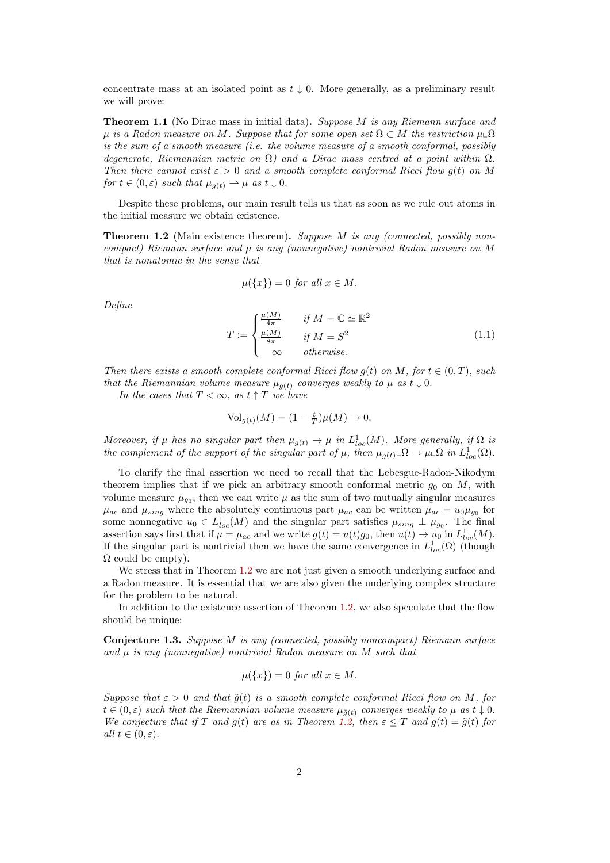concentrate mass at an isolated point as  $t \downarrow 0$ . More generally, as a preliminary result we will prove:

<span id="page-1-2"></span>**Theorem 1.1** (No Dirac mass in initial data). Suppose M is any Riemann surface and  $\mu$  is a Radon measure on M. Suppose that for some open set  $\Omega \subset M$  the restriction  $\mu \llcorner \Omega$ is the sum of a smooth measure (i.e. the volume measure of a smooth conformal, possibly degenerate, Riemannian metric on  $\Omega$ ) and a Dirac mass centred at a point within  $\Omega$ . Then there cannot exist  $\varepsilon > 0$  and a smooth complete conformal Ricci flow  $g(t)$  on M for  $t \in (0, \varepsilon)$  such that  $\mu_{g(t)} \to \mu$  as  $t \downarrow 0$ .

Despite these problems, our main result tells us that as soon as we rule out atoms in the initial measure we obtain existence.

<span id="page-1-0"></span>**Theorem 1.2** (Main existence theorem). Suppose M is any (connected, possibly noncompact) Riemann surface and  $\mu$  is any (nonnegative) nontrivial Radon measure on M that is nonatomic in the sense that

$$
\mu({x}) = 0 \text{ for all } x \in M.
$$

Define

$$
T := \begin{cases} \frac{\mu(M)}{4\pi} & \text{if } M = \mathbb{C} \simeq \mathbb{R}^2\\ \frac{\mu(M)}{8\pi} & \text{if } M = S^2\\ \infty & \text{otherwise.} \end{cases} \tag{1.1}
$$

Then there exists a smooth complete conformal Ricci flow  $g(t)$  on M, for  $t \in (0,T)$ , such that the Riemannian volume measure  $\mu_{q(t)}$  converges weakly to  $\mu$  as  $t \downarrow 0$ .

In the cases that  $T < \infty$ , as  $t \uparrow T$  we have

$$
\text{Vol}_{g(t)}(M) = (1 - \frac{t}{T})\mu(M) \to 0.
$$

Moreover, if  $\mu$  has no singular part then  $\mu_{g(t)} \to \mu$  in  $L^1_{loc}(M)$ . More generally, if  $\Omega$  is the complement of the support of the singular part of  $\mu$ , then  $\mu_{g(t)} \_\Omega \to \mu \_\Omega$  in  $L^1_{loc}(\Omega)$ .

To clarify the final assertion we need to recall that the Lebesgue-Radon-Nikodym theorem implies that if we pick an arbitrary smooth conformal metric  $g_0$  on  $M$ , with volume measure  $\mu_{g_0}$ , then we can write  $\mu$  as the sum of two mutually singular measures  $\mu_{ac}$  and  $\mu_{sing}$  where the absolutely continuous part  $\mu_{ac}$  can be written  $\mu_{ac} = u_0 \mu_{go}$  for some nonnegative  $u_0 \in L^1_{loc}(M)$  and the singular part satisfies  $\mu_{sing} \perp \mu_{go}$ . The final assertion says first that if  $\mu = \mu_{ac}$  and we write  $g(t) = u(t)g_0$ , then  $u(t) \to u_0$  in  $L^1_{loc}(M)$ . If the singular part is nontrivial then we have the same convergence in  $L^1_{loc}(\Omega)$  (though  $\Omega$  could be empty).

We stress that in Theorem [1.2](#page-1-0) we are not just given a smooth underlying surface and a Radon measure. It is essential that we are also given the underlying complex structure for the problem to be natural.

In addition to the existence assertion of Theorem [1.2,](#page-1-0) we also speculate that the flow should be unique:

<span id="page-1-1"></span>Conjecture 1.3. Suppose M is any (connected, possibly noncompact) Riemann surface and  $\mu$  is any (nonnegative) nontrivial Radon measure on M such that

$$
\mu({x}) = 0 \text{ for all } x \in M.
$$

Suppose that  $\varepsilon > 0$  and that  $\tilde{g}(t)$  is a smooth complete conformal Ricci flow on M, for  $t \in (0,\varepsilon)$  such that the Riemannian volume measure  $\mu_{\tilde{g}(t)}$  converges weakly to  $\mu$  as  $t \downarrow 0$ . We conjecture that if T and g(t) are as in Theorem [1.2,](#page-1-0) then  $\varepsilon \leq T$  and  $g(t) = \tilde{g}(t)$  for all  $t \in (0, \varepsilon)$ .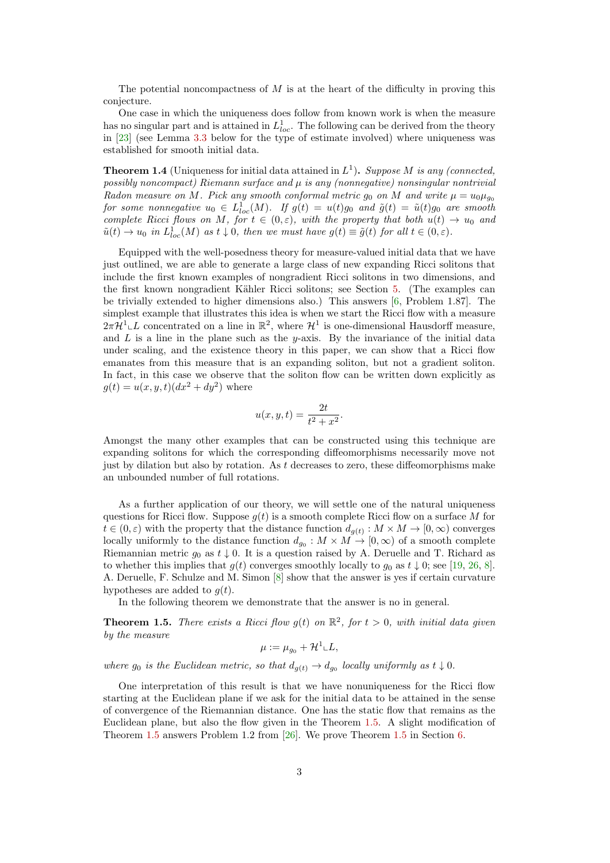The potential noncompactness of  $M$  is at the heart of the difficulty in proving this conjecture.

One case in which the uniqueness does follow from known work is when the measure has no singular part and is attained in  $L^1_{loc}$ . The following can be derived from the theory in [\[23\]](#page-23-0) (see Lemma [3.3](#page-8-0) below for the type of estimate involved) where uniqueness was established for smooth initial data.

<span id="page-2-1"></span>**Theorem 1.4** (Uniqueness for initial data attained in  $L^1$ ). Suppose M is any (connected, possibly noncompact) Riemann surface and  $\mu$  is any (nonnegative) nonsingular nontrivial Radon measure on M. Pick any smooth conformal metric  $g_0$  on M and write  $\mu = u_0 \mu_{q_0}$ for some nonnegative  $u_0 \in L^1_{loc}(M)$ . If  $g(t) = u(t)g_0$  and  $\tilde{g}(t) = \tilde{u}(t)g_0$  are smooth complete Ricci flows on M, for  $t \in (0, \varepsilon)$ , with the property that both  $u(t) \to u_0$  and  $\tilde{u}(t) \to u_0$  in  $L^1_{loc}(M)$  as  $t \downarrow 0$ , then we must have  $g(t) \equiv \tilde{g}(t)$  for all  $t \in (0, \varepsilon)$ .

Equipped with the well-posedness theory for measure-valued initial data that we have just outlined, we are able to generate a large class of new expanding Ricci solitons that include the first known examples of nongradient Ricci solitons in two dimensions, and the first known nongradient Kähler Ricci solitons; see Section [5.](#page-16-0) (The examples can be trivially extended to higher dimensions also.) This answers [\[6,](#page-22-0) Problem 1.87]. The simplest example that illustrates this idea is when we start the Ricci flow with a measure  $2\pi\mathcal{H}^1\llcorner L$  concentrated on a line in  $\mathbb{R}^2$ , where  $\mathcal{H}^1$  is one-dimensional Hausdorff measure, and L is a line in the plane such as the y-axis. By the invariance of the initial data under scaling, and the existence theory in this paper, we can show that a Ricci flow emanates from this measure that is an expanding soliton, but not a gradient soliton. In fact, in this case we observe that the soliton flow can be written down explicitly as  $g(t) = u(x, y, t)(dx^{2} + dy^{2})$  where

$$
u(x, y, t) = \frac{2t}{t^2 + x^2}.
$$

Amongst the many other examples that can be constructed using this technique are expanding solitons for which the corresponding diffeomorphisms necessarily move not just by dilation but also by rotation. As  $t$  decreases to zero, these diffeomorphisms make an unbounded number of full rotations.

As a further application of our theory, we will settle one of the natural uniqueness questions for Ricci flow. Suppose  $q(t)$  is a smooth complete Ricci flow on a surface M for  $t \in (0, \varepsilon)$  with the property that the distance function  $d_{g(t)} : M \times M \to [0, \infty)$  converges locally uniformly to the distance function  $d_{g_0}: M \times M \to [0, \infty)$  of a smooth complete Riemannian metric  $g_0$  as  $t \downarrow 0$ . It is a question raised by A. Deruelle and T. Richard as to whether this implies that  $g(t)$  converges smoothly locally to  $g_0$  as  $t \downarrow 0$ ; see [\[19,](#page-23-1) [26,](#page-23-2) [8\]](#page-22-1). A. Deruelle, F. Schulze and M. Simon [\[8\]](#page-22-1) show that the answer is yes if certain curvature hypotheses are added to  $q(t)$ .

In the following theorem we demonstrate that the answer is no in general.

<span id="page-2-0"></span>**Theorem 1.5.** There exists a Ricci flow  $g(t)$  on  $\mathbb{R}^2$ , for  $t > 0$ , with initial data given by the measure

$$
\mu := \mu_{g_0} + \mathcal{H}^1 \llcorner L,
$$

where  $g_0$  is the Euclidean metric, so that  $d_{g(t)} \to d_{g_0}$  locally uniformly as  $t \downarrow 0$ .

One interpretation of this result is that we have nonuniqueness for the Ricci flow starting at the Euclidean plane if we ask for the initial data to be attained in the sense of convergence of the Riemannian distance. One has the static flow that remains as the Euclidean plane, but also the flow given in the Theorem [1.5.](#page-2-0) A slight modification of Theorem [1.5](#page-2-0) answers Problem 1.2 from [\[26\]](#page-23-2). We prove Theorem [1.5](#page-2-0) in Section [6.](#page-19-0)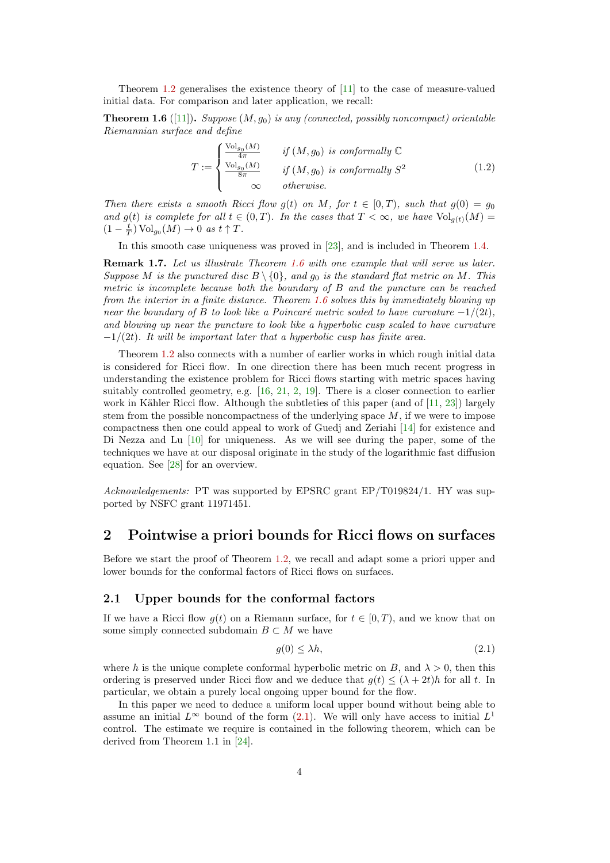Theorem [1.2](#page-1-0) generalises the existence theory of [\[11\]](#page-22-2) to the case of measure-valued initial data. For comparison and later application, we recall:

<span id="page-3-0"></span>**Theorem 1.6** ([\[11\]](#page-22-2)). Suppose  $(M, g_0)$  is any (connected, possibly noncompact) orientable Riemannian surface and define

$$
T := \begin{cases} \frac{\text{Vol}_{g_0}(M)}{4\pi} & \text{if } (M, g_0) \text{ is conformally } \mathbb{C} \\ \frac{\text{Vol}_{g_0}(M)}{8\pi} & \text{if } (M, g_0) \text{ is conformally } S^2 \\ \infty & \text{otherwise.} \end{cases} \tag{1.2}
$$

Then there exists a smooth Ricci flow  $g(t)$  on M, for  $t \in [0,T)$ , such that  $g(0) = g_0$ and  $g(t)$  is complete for all  $t \in (0,T)$ . In the cases that  $T < \infty$ , we have  $\text{Vol}_{q(t)}(M) =$  $(1 - \frac{t}{T}) \operatorname{Vol}_{g_0}(M) \to 0 \text{ as } t \uparrow T.$ 

In this smooth case uniqueness was proved in [\[23\]](#page-23-0), and is included in Theorem [1.4.](#page-2-1)

Remark 1.7. Let us illustrate Theorem [1.6](#page-3-0) with one example that will serve us later. Suppose M is the punctured disc  $B \setminus \{0\}$ , and  $g_0$  is the standard flat metric on M. This metric is incomplete because both the boundary of B and the puncture can be reached from the interior in a finite distance. Theorem [1.6](#page-3-0) solves this by immediately blowing up near the boundary of B to look like a Poincaré metric scaled to have curvature  $-1/(2t)$ , and blowing up near the puncture to look like a hyperbolic cusp scaled to have curvature  $-1/(2t)$ . It will be important later that a hyperbolic cusp has finite area.

Theorem [1.2](#page-1-0) also connects with a number of earlier works in which rough initial data is considered for Ricci flow. In one direction there has been much recent progress in understanding the existence problem for Ricci flows starting with metric spaces having suitably controlled geometry, e.g. [\[16,](#page-22-3) [21,](#page-23-3) [2,](#page-22-4) [19\]](#page-23-1). There is a closer connection to earlier work in Kähler Ricci flow. Although the subtleties of this paper (and of  $[11, 23]$  $[11, 23]$  $[11, 23]$ ) largely stem from the possible noncompactness of the underlying space  $M$ , if we were to impose compactness then one could appeal to work of Guedj and Zeriahi [\[14\]](#page-22-5) for existence and Di Nezza and Lu [\[10\]](#page-22-6) for uniqueness. As we will see during the paper, some of the techniques we have at our disposal originate in the study of the logarithmic fast diffusion equation. See [\[28\]](#page-23-4) for an overview.

Acknowledgements: PT was supported by EPSRC grant EP/T019824/1. HY was supported by NSFC grant 11971451.

## <span id="page-3-2"></span>2 Pointwise a priori bounds for Ricci flows on surfaces

Before we start the proof of Theorem [1.2,](#page-1-0) we recall and adapt some a priori upper and lower bounds for the conformal factors of Ricci flows on surfaces.

## 2.1 Upper bounds for the conformal factors

If we have a Ricci flow  $g(t)$  on a Riemann surface, for  $t \in [0, T)$ , and we know that on some simply connected subdomain  $B \subset M$  we have

<span id="page-3-1"></span>
$$
g(0) \le \lambda h,\tag{2.1}
$$

where h is the unique complete conformal hyperbolic metric on B, and  $\lambda > 0$ , then this ordering is preserved under Ricci flow and we deduce that  $g(t) \leq (\lambda + 2t)h$  for all t. In particular, we obtain a purely local ongoing upper bound for the flow.

In this paper we need to deduce a uniform local upper bound without being able to assume an initial  $L^{\infty}$  bound of the form [\(2.1\)](#page-3-1). We will only have access to initial  $L^{1}$ control. The estimate we require is contained in the following theorem, which can be derived from Theorem 1.1 in [\[24\]](#page-23-5).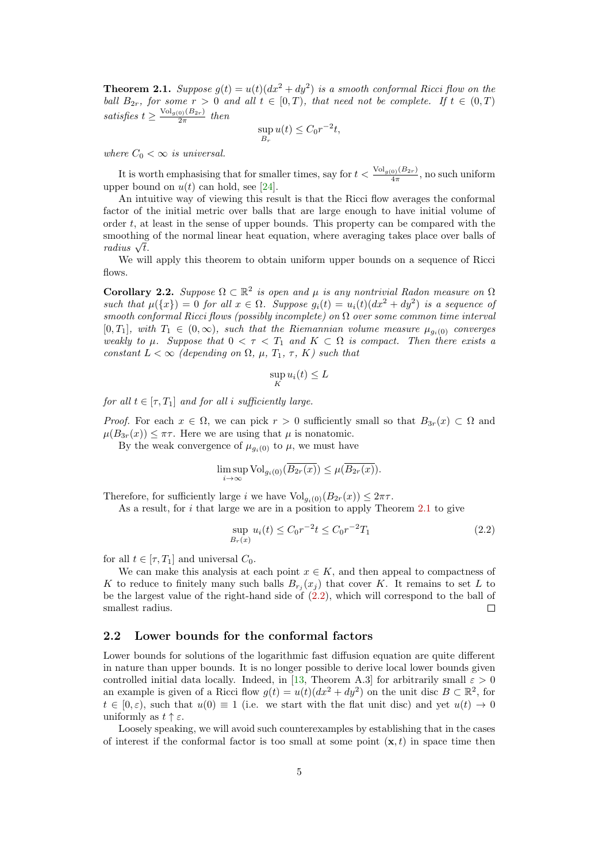<span id="page-4-0"></span>**Theorem 2.1.** Suppose  $g(t) = u(t)(dx^2 + dy^2)$  is a smooth conformal Ricci flow on the ball  $B_{2r}$ , for some  $r > 0$  and all  $t \in [0, T)$ , that need not be complete. If  $t \in (0, T)$ satisfies  $t \geq \frac{\text{Vol}_{g(0)}(B_{2r})}{2\pi}$  $\frac{10(102r)}{2\pi}$  then

$$
\sup_{B_r} u(t) \le C_0 r^{-2} t,
$$

where  $C_0 < \infty$  is universal.

It is worth emphasising that for smaller times, say for  $t < \frac{\text{Vol}_{g(0)}(B_{2r})}{4\pi}$ , no such uniform upper bound on  $u(t)$  can hold, see [\[24\]](#page-23-5).

An intuitive way of viewing this result is that the Ricci flow averages the conformal factor of the initial metric over balls that are large enough to have initial volume of order  $t$ , at least in the sense of upper bounds. This property can be compared with the smoothing of the normal linear heat equation, where averaging takes place over balls of smootning<br>radius  $\sqrt{t}$ .

We will apply this theorem to obtain uniform upper bounds on a sequence of Ricci flows.

<span id="page-4-2"></span>Corollary 2.2. Suppose  $\Omega \subset \mathbb{R}^2$  is open and  $\mu$  is any nontrivial Radon measure on  $\Omega$ such that  $\mu({x}) = 0$  for all  $x \in \Omega$ . Suppose  $g_i(t) = u_i(t)(dx^2 + dy^2)$  is a sequence of smooth conformal Ricci flows (possibly incomplete) on  $\Omega$  over some common time interval [0, T<sub>1</sub>], with  $T_1 \in (0,\infty)$ , such that the Riemannian volume measure  $\mu_{g_i(0)}$  converges weakly to  $\mu$ . Suppose that  $0 < \tau < T_1$  and  $K \subset \Omega$  is compact. Then there exists a constant  $L < \infty$  (depending on  $\Omega$ ,  $\mu$ ,  $T_1$ ,  $\tau$ ,  $K$ ) such that

$$
\sup_K u_i(t) \le L
$$

for all  $t \in [\tau, T_1]$  and for all i sufficiently large.

*Proof.* For each  $x \in \Omega$ , we can pick  $r > 0$  sufficiently small so that  $B_{3r}(x) \subset \Omega$  and  $\mu(B_{3r}(x)) \leq \pi \tau$ . Here we are using that  $\mu$  is nonatomic.

By the weak convergence of  $\mu_{g_i(0)}$  to  $\mu$ , we must have

$$
\limsup_{i \to \infty} \text{Vol}_{g_i(0)}(\overline{B_{2r}(x)}) \le \mu(\overline{B_{2r}(x)}).
$$

Therefore, for sufficiently large i we have  $Vol_{q_i(0)}(B_{2r}(x)) \leq 2\pi\tau$ .

As a result, for i that large we are in a position to apply Theorem [2.1](#page-4-0) to give

<span id="page-4-1"></span>
$$
\sup_{B_r(x)} u_i(t) \le C_0 r^{-2} t \le C_0 r^{-2} T_1 \tag{2.2}
$$

for all  $t \in [\tau, T_1]$  and universal  $C_0$ .

We can make this analysis at each point  $x \in K$ , and then appeal to compactness of K to reduce to finitely many such balls  $B_{r_j}(x_j)$  that cover K. It remains to set L to be the largest value of the right-hand side of [\(2.2\)](#page-4-1), which will correspond to the ball of smallest radius.  $\Box$ 

## 2.2 Lower bounds for the conformal factors

Lower bounds for solutions of the logarithmic fast diffusion equation are quite different in nature than upper bounds. It is no longer possible to derive local lower bounds given controlled initial data locally. Indeed, in [\[13,](#page-22-7) Theorem A.3] for arbitrarily small  $\varepsilon > 0$ an example is given of a Ricci flow  $g(t) = u(t)(dx^2 + dy^2)$  on the unit disc  $B \subset \mathbb{R}^2$ , for  $t \in [0,\varepsilon)$ , such that  $u(0) \equiv 1$  (i.e. we start with the flat unit disc) and yet  $u(t) \to 0$ uniformly as  $t \uparrow \varepsilon$ .

Loosely speaking, we will avoid such counterexamples by establishing that in the cases of interest if the conformal factor is too small at some point  $(x, t)$  in space time then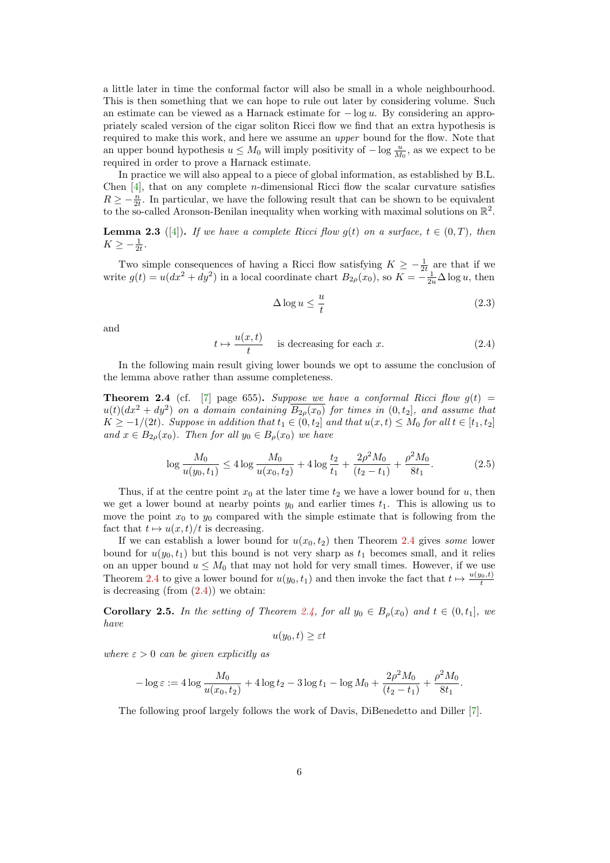a little later in time the conformal factor will also be small in a whole neighbourhood. This is then something that we can hope to rule out later by considering volume. Such an estimate can be viewed as a Harnack estimate for  $-\log u$ . By considering an appropriately scaled version of the cigar soliton Ricci flow we find that an extra hypothesis is required to make this work, and here we assume an upper bound for the flow. Note that an upper bound hypothesis  $u \leq M_0$  will imply positivity of  $-\log \frac{u}{M_0}$ , as we expect to be required in order to prove a Harnack estimate.

In practice we will also appeal to a piece of global information, as established by B.L. Chen  $[4]$ , that on any complete *n*-dimensional Ricci flow the scalar curvature satisfies  $R \geq -\frac{n}{2t}$ . In particular, we have the following result that can be shown to be equivalent to the so-called Aronson-Benilan inequality when working with maximal solutions on  $\mathbb{R}^2$ .

<span id="page-5-3"></span>**Lemma 2.3** ([\[4\]](#page-22-8)). If we have a complete Ricci flow  $g(t)$  on a surface,  $t \in (0, T)$ , then  $K \geq -\frac{1}{2t}.$ 

Two simple consequences of having a Ricci flow satisfying  $K \geq -\frac{1}{2t}$  are that if we write  $g(t) = u(dx^2 + dy^2)$  in a local coordinate chart  $B_{2\rho}(x_0)$ , so  $K = -\frac{1}{2u}\Delta \log u$ , then

<span id="page-5-2"></span>
$$
\Delta \log u \le \frac{u}{t} \tag{2.3}
$$

and

<span id="page-5-1"></span>
$$
t \mapsto \frac{u(x,t)}{t} \quad \text{ is decreasing for each } x. \tag{2.4}
$$

In the following main result giving lower bounds we opt to assume the conclusion of the lemma above rather than assume completeness.

<span id="page-5-0"></span>**Theorem 2.4** (cf. [\[7\]](#page-22-9) page 655). Suppose we have a conformal Ricci flow  $g(t)$  =  $u(t)(dx^2 + dy^2)$  on a domain containing  $\overline{B_{2\rho}(x_0)}$  for times in  $(0, t_2]$ , and assume that  $K \ge -1/(2t)$ . Suppose in addition that  $t_1 \in (0, t_2]$  and that  $u(x, t) \le M_0$  for all  $t \in [t_1, t_2]$ and  $x \in B_{2\rho}(x_0)$ . Then for all  $y_0 \in B_{\rho}(x_0)$  we have

$$
\log \frac{M_0}{u(y_0, t_1)} \le 4 \log \frac{M_0}{u(x_0, t_2)} + 4 \log \frac{t_2}{t_1} + \frac{2\rho^2 M_0}{(t_2 - t_1)} + \frac{\rho^2 M_0}{8t_1}.
$$
 (2.5)

Thus, if at the centre point  $x_0$  at the later time  $t_2$  we have a lower bound for u, then we get a lower bound at nearby points  $y_0$  and earlier times  $t_1$ . This is allowing us to move the point  $x_0$  to  $y_0$  compared with the simple estimate that is following from the fact that  $t \mapsto u(x, t)/t$  is decreasing.

If we can establish a lower bound for  $u(x_0, t_2)$  then Theorem [2.4](#page-5-0) gives some lower bound for  $u(y_0, t_1)$  but this bound is not very sharp as  $t_1$  becomes small, and it relies on an upper bound  $u \leq M_0$  that may not hold for very small times. However, if we use Theorem [2.4](#page-5-0) to give a lower bound for  $u(y_0, t_1)$  and then invoke the fact that  $t \mapsto \frac{u(y_0, t)}{t}$ is decreasing (from  $(2.4)$ ) we obtain:

<span id="page-5-4"></span>**Corollary 2.5.** In the setting of Theorem [2.4,](#page-5-0) for all  $y_0 \in B_o(x_0)$  and  $t \in (0, t_1]$ , we have

$$
u(y_0, t) \geq \varepsilon t
$$

where  $\varepsilon > 0$  can be given explicitly as

$$
-\log \varepsilon := 4\log \frac{M_0}{u(x_0, t_2)} + 4\log t_2 - 3\log t_1 - \log M_0 + \frac{2\rho^2 M_0}{(t_2 - t_1)} + \frac{\rho^2 M_0}{8t_1}.
$$

The following proof largely follows the work of Davis, DiBenedetto and Diller [\[7\]](#page-22-9).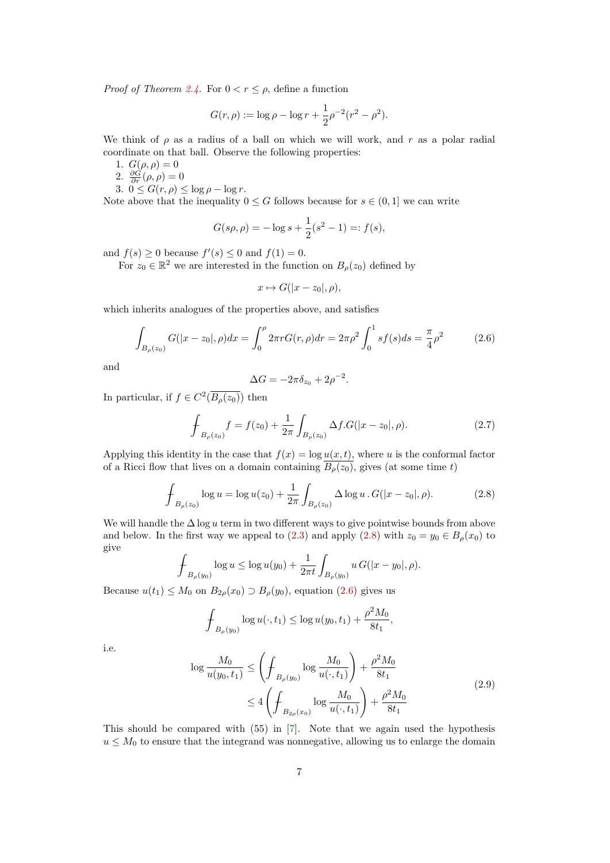*Proof of Theorem [2.4.](#page-5-0)* For  $0 < r \leq \rho$ , define a function

$$
G(r,\rho) := \log \rho - \log r + \frac{1}{2}\rho^{-2}(r^2 - \rho^2).
$$

We think of  $\rho$  as a radius of a ball on which we will work, and r as a polar radial coordinate on that ball. Observe the following properties:

- 1.  $G(\rho, \rho) = 0$
- 2.  $\frac{\partial G}{\partial r}(\rho, \rho) = 0$
- 3.  $0 \le G(r, \rho) \le \log \rho \log r$ .

Note above that the inequality  $0 \leq G$  follows because for  $s \in (0, 1]$  we can write

$$
G(s\rho, \rho) = -\log s + \frac{1}{2}(s^2 - 1) =: f(s),
$$

and  $f(s) \geq 0$  because  $f'(s) \leq 0$  and  $f(1) = 0$ .

For  $z_0 \in \mathbb{R}^2$  we are interested in the function on  $B_\rho(z_0)$  defined by

$$
x \mapsto G(|x - z_0|, \rho),
$$

which inherits analogues of the properties above, and satisfies

<span id="page-6-1"></span>
$$
\int_{B_{\rho}(z_0)} G(|x-z_0|, \rho) dx = \int_0^{\rho} 2\pi r G(r, \rho) dr = 2\pi \rho^2 \int_0^1 s f(s) ds = \frac{\pi}{4} \rho^2 \tag{2.6}
$$

and

$$
\Delta G = -2\pi \delta_{z_0} + 2\rho^{-2}.
$$

In particular, if  $f \in C^2(\overline{B_\rho(z_0)})$  then

$$
\mathcal{F}_{B_{\rho}(z_0)}f = f(z_0) + \frac{1}{2\pi} \int_{B_{\rho}(z_0)} \Delta f.G(|x - z_0|, \rho). \tag{2.7}
$$

Applying this identity in the case that  $f(x) = \log u(x, t)$ , where u is the conformal factor of a Ricci flow that lives on a domain containing  $\overline{B_{\rho}(z_0)}$ , gives (at some time t)

<span id="page-6-0"></span>
$$
\oint_{B_{\rho}(z_0)} \log u = \log u(z_0) + \frac{1}{2\pi} \int_{B_{\rho}(z_0)} \Delta \log u \, . \, G(|x - z_0|, \rho). \tag{2.8}
$$

We will handle the  $\Delta \log u$  term in two different ways to give pointwise bounds from above and below. In the first way we appeal to [\(2.3\)](#page-5-2) and apply [\(2.8\)](#page-6-0) with  $z_0 = y_0 \in B_\rho(x_0)$  to give

$$
\int_{B_{\rho}(y_0)} \log u \leq \log u(y_0) + \frac{1}{2\pi t} \int_{B_{\rho}(y_0)} u \, G(|x - y_0|, \rho).
$$

Because  $u(t_1) \leq M_0$  on  $B_{2\rho}(x_0) \supset B_{\rho}(y_0)$ , equation  $(2.6)$  gives us

$$
\oint_{B_{\rho}(y_0)} \log u(\cdot, t_1) \le \log u(y_0, t_1) + \frac{\rho^2 M_0}{8t_1},
$$

i.e.

<span id="page-6-2"></span>
$$
\log \frac{M_0}{u(y_0, t_1)} \le \left( \int_{B_{\rho}(y_0)} \log \frac{M_0}{u(\cdot, t_1)} \right) + \frac{\rho^2 M_0}{8t_1}
$$
  

$$
\le 4 \left( \int_{B_{2\rho}(x_0)} \log \frac{M_0}{u(\cdot, t_1)} \right) + \frac{\rho^2 M_0}{8t_1}
$$
 (2.9)

This should be compared with (55) in [\[7\]](#page-22-9). Note that we again used the hypothesis  $u \leq M_0$  to ensure that the integrand was nonnegative, allowing us to enlarge the domain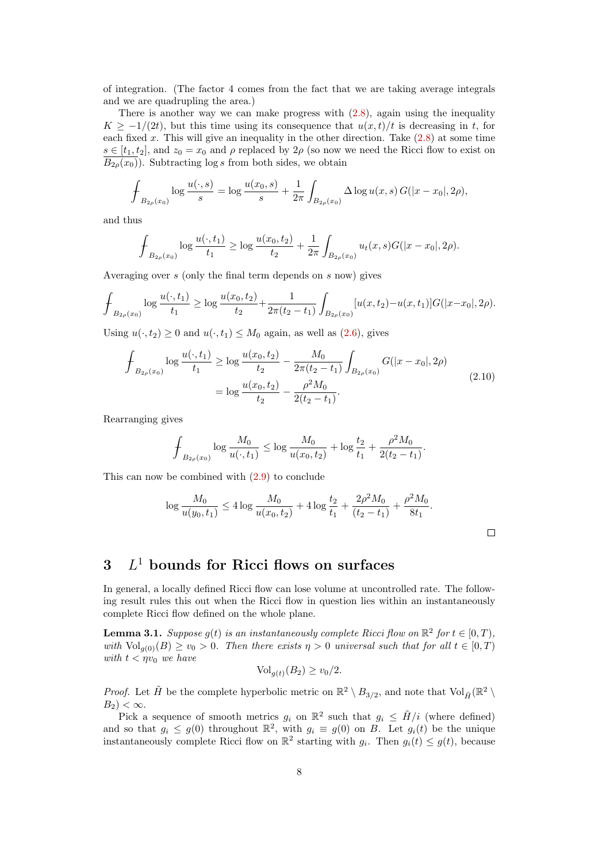of integration. (The factor 4 comes from the fact that we are taking average integrals and we are quadrupling the area.)

There is another way we can make progress with  $(2.8)$ , again using the inequality  $K \ge -1/(2t)$ , but this time using its consequence that  $u(x,t)/t$  is decreasing in t, for each fixed  $x$ . This will give an inequality in the other direction. Take  $(2.8)$  at some time  $s \in [t_1, t_2]$ , and  $z_0 = x_0$  and  $\rho$  replaced by  $2\rho$  (so now we need the Ricci flow to exist on  $\overline{B_{2\rho}(x_0)}$ . Subtracting log s from both sides, we obtain

$$
\oint_{B_{2\rho}(x_0)} \log \frac{u(\cdot,s)}{s} = \log \frac{u(x_0,s)}{s} + \frac{1}{2\pi} \int_{B_{2\rho}(x_0)} \Delta \log u(x,s) G(|x-x_0|, 2\rho),
$$

and thus

$$
\oint_{B_{2\rho}(x_0)} \log \frac{u(\cdot,t_1)}{t_1} \ge \log \frac{u(x_0,t_2)}{t_2} + \frac{1}{2\pi} \int_{B_{2\rho}(x_0)} u_t(x,s)G(|x-x_0|,2\rho).
$$

Averaging over s (only the final term depends on s now) gives

$$
\oint_{B_{2\rho}(x_0)} \log \frac{u(\cdot,t_1)}{t_1} \ge \log \frac{u(x_0,t_2)}{t_2} + \frac{1}{2\pi(t_2-t_1)} \int_{B_{2\rho}(x_0)} [u(x,t_2) - u(x,t_1)] G(|x-x_0|,2\rho).
$$

Using  $u(\cdot, t_2) \geq 0$  and  $u(\cdot, t_1) \leq M_0$  again, as well as  $(2.6)$ , gives

$$
\int_{B_{2\rho}(x_0)} \log \frac{u(\cdot, t_1)}{t_1} \ge \log \frac{u(x_0, t_2)}{t_2} - \frac{M_0}{2\pi(t_2 - t_1)} \int_{B_{2\rho}(x_0)} G(|x - x_0|, 2\rho)
$$
\n
$$
= \log \frac{u(x_0, t_2)}{t_2} - \frac{\rho^2 M_0}{2(t_2 - t_1)}.
$$
\n(2.10)

Rearranging gives

$$
\oint_{B_{2\rho}(x_0)} \log \frac{M_0}{u(\cdot,t_1)} \le \log \frac{M_0}{u(x_0,t_2)} + \log \frac{t_2}{t_1} + \frac{\rho^2 M_0}{2(t_2 - t_1)}.
$$

This can now be combined with [\(2.9\)](#page-6-2) to conclude

$$
\log \frac{M_0}{u(y_0, t_1)} \le 4 \log \frac{M_0}{u(x_0, t_2)} + 4 \log \frac{t_2}{t_1} + \frac{2\rho^2 M_0}{(t_2 - t_1)} + \frac{\rho^2 M_0}{8t_1}.
$$

 $\Box$ 

# $3$   $L^1$  bounds for Ricci flows on surfaces

In general, a locally defined Ricci flow can lose volume at uncontrolled rate. The following result rules this out when the Ricci flow in question lies within an instantaneously complete Ricci flow defined on the whole plane.

<span id="page-7-0"></span>**Lemma 3.1.** Suppose  $g(t)$  is an instantaneously complete Ricci flow on  $\mathbb{R}^2$  for  $t \in [0, T)$ , with  $\text{Vol}_{q(0)}(B) \ge v_0 > 0$ . Then there exists  $\eta > 0$  universal such that for all  $t \in [0, T)$ with  $t < \eta v_0$  we have

$$
\text{Vol}_{g(t)}(B_2) \ge v_0/2.
$$

*Proof.* Let  $\tilde{H}$  be the complete hyperbolic metric on  $\mathbb{R}^2 \setminus B_{3/2}$ , and note that  $Vol_{\tilde{H}}(\mathbb{R}^2 \setminus$  $B_2$ ) <  $\infty$ .

Pick a sequence of smooth metrics  $g_i$  on  $\mathbb{R}^2$  such that  $g_i \leq \tilde{H}/i$  (where defined) and so that  $g_i \leq g(0)$  throughout  $\mathbb{R}^2$ , with  $g_i \equiv g(0)$  on B. Let  $g_i(t)$  be the unique instantaneously complete Ricci flow on  $\mathbb{R}^2$  starting with  $g_i$ . Then  $g_i(t) \leq g(t)$ , because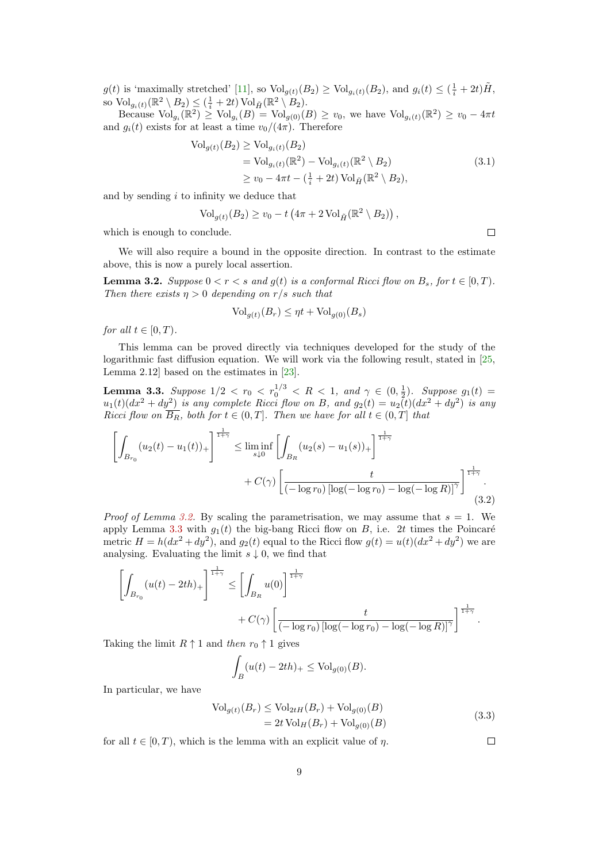$g(t)$  is 'maximally stretched' [\[11\]](#page-22-2), so  $\text{Vol}_{g(t)}(B_2) \ge \text{Vol}_{g_i(t)}(B_2)$ , and  $g_i(t) \le (\frac{1}{i} + 2t)\tilde{H}$ , so  $\mathrm{Vol}_{g_i(t)}(\mathbb{R}^2 \setminus B_2) \leq (\frac{1}{i} + 2t) \,\mathrm{Vol}_{\tilde{H}}(\mathbb{R}^2 \setminus B_2).$ 

Because  $\text{Vol}_{g_i}(\mathbb{R}^2) \geq \text{Vol}_{g_i}(B) = \text{Vol}_{g(0)}(B) \geq v_0$ , we have  $\text{Vol}_{g_i(t)}(\mathbb{R}^2) \geq v_0 - 4\pi t$ and  $g_i(t)$  exists for at least a time  $v_0/(4\pi)$ . Therefore

$$
\begin{aligned} \text{Vol}_{g(t)}(B_2) &\geq \text{Vol}_{g_i(t)}(B_2) \\ &= \text{Vol}_{g_i(t)}(\mathbb{R}^2) - \text{Vol}_{g_i(t)}(\mathbb{R}^2 \setminus B_2) \\ &\geq v_0 - 4\pi t - \left(\frac{1}{i} + 2t\right) \text{Vol}_{\tilde{H}}(\mathbb{R}^2 \setminus B_2), \end{aligned} \tag{3.1}
$$

and by sending  $i$  to infinity we deduce that

$$
\text{Vol}_{g(t)}(B_2) \ge v_0 - t \left(4\pi + 2 \text{Vol}_{\tilde{H}}(\mathbb{R}^2 \setminus B_2)\right),
$$

which is enough to conclude.

We will also require a bound in the opposite direction. In contrast to the estimate above, this is now a purely local assertion.

<span id="page-8-1"></span>**Lemma 3.2.** Suppose  $0 < r < s$  and  $q(t)$  is a conformal Ricci flow on  $B_s$ , for  $t \in [0, T)$ . Then there exists  $\eta > 0$  depending on r/s such that

$$
Vol_{g(t)}(B_r) \leq \eta t + Vol_{g(0)}(B_s)
$$

for all  $t \in [0, T)$ .

This lemma can be proved directly via techniques developed for the study of the logarithmic fast diffusion equation. We will work via the following result, stated in [\[25,](#page-23-6) Lemma 2.12] based on the estimates in [\[23\]](#page-23-0).

<span id="page-8-0"></span>**Lemma 3.3.** Suppose  $1/2 < r_0 < r_0^{1/3} < R < 1$ , and  $\gamma \in (0, \frac{1}{2})$ . Suppose  $g_1(t) =$  $u_1(t)(dx^2 + dy^2)$  is any complete Ricci flow on B, and  $g_2(t) = u_2(t)(dx^2 + dy^2)$  is any Ricci flow on  $\overline{B_R}$ , both for  $t \in (0,T]$ . Then we have for all  $t \in (0,T]$  that

$$
\left[\int_{B_{r_0}} (u_2(t) - u_1(t))_+\right]^{\frac{1}{1+\gamma}} \leq \liminf_{s \downarrow 0} \left[\int_{B_R} (u_2(s) - u_1(s))_+\right]^{\frac{1}{1+\gamma}} + C(\gamma) \left[\frac{t}{(-\log r_0)\left[\log(-\log r_0) - \log(-\log R)\right]^{\gamma}}\right]^{\frac{1}{1+\gamma}}.
$$
\n(3.2)

*Proof of Lemma [3.2.](#page-8-1)* By scaling the parametrisation, we may assume that  $s = 1$ . We apply Lemma [3.3](#page-8-0) with  $g_1(t)$  the big-bang Ricci flow on B, i.e. 2t times the Poincaré metric  $H = h(dx^2 + dy^2)$ , and  $g_2(t)$  equal to the Ricci flow  $g(t) = u(t)(dx^2 + dy^2)$  we are analysing. Evaluating the limit  $s \downarrow 0$ , we find that

$$
\left[\int_{B_{r_0}} (u(t)-2th)_+\right]^{\frac{1}{1+\gamma}} \leq \left[\int_{B_R} u(0)\right]^{\frac{1}{1+\gamma}} + C(\gamma) \left[\frac{t}{(-\log r_0)\left[\log(-\log r_0) - \log(-\log R)\right]^{\gamma}}\right]^{\frac{1}{1+\gamma}}.
$$

Taking the limit  $R \uparrow 1$  and then  $r_0 \uparrow 1$  gives

$$
\int_B (u(t) - 2th)_+ \leq \text{Vol}_{g(0)}(B).
$$

In particular, we have

$$
\text{Vol}_{g(t)}(B_r) \le \text{Vol}_{2tH}(B_r) + \text{Vol}_{g(0)}(B) \n= 2t \text{Vol}_H(B_r) + \text{Vol}_{g(0)}(B)
$$
\n(3.3)

for all  $t \in [0, T)$ , which is the lemma with an explicit value of  $\eta$ .

$$
\overline{\phantom{0}}
$$

 $\Box$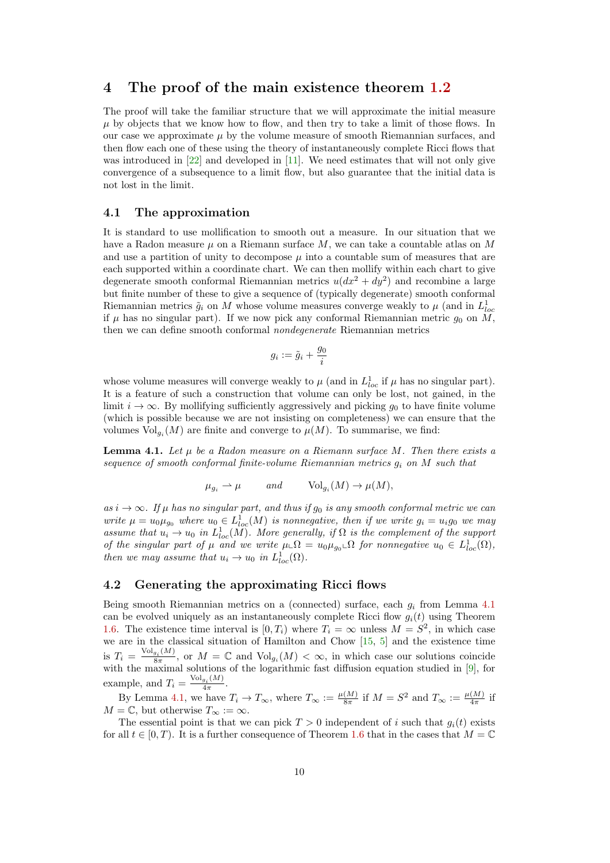## 4 The proof of the main existence theorem [1.2](#page-1-0)

The proof will take the familiar structure that we will approximate the initial measure  $\mu$  by objects that we know how to flow, and then try to take a limit of those flows. In our case we approximate  $\mu$  by the volume measure of smooth Riemannian surfaces, and then flow each one of these using the theory of instantaneously complete Ricci flows that was introduced in  $[22]$  and developed in  $[11]$ . We need estimates that will not only give convergence of a subsequence to a limit flow, but also guarantee that the initial data is not lost in the limit.

## 4.1 The approximation

It is standard to use mollification to smooth out a measure. In our situation that we have a Radon measure  $\mu$  on a Riemann surface M, we can take a countable atlas on M and use a partition of unity to decompose  $\mu$  into a countable sum of measures that are each supported within a coordinate chart. We can then mollify within each chart to give degenerate smooth conformal Riemannian metrics  $u(dx^2 + dy^2)$  and recombine a large but finite number of these to give a sequence of (typically degenerate) smooth conformal Riemannian metrics  $\tilde{g}_i$  on M whose volume measures converge weakly to  $\mu$  (and in  $L^1_{loc}$ if  $\mu$  has no singular part). If we now pick any conformal Riemannian metric  $g_0$  on M, then we can define smooth conformal nondegenerate Riemannian metrics

$$
g_i:=\tilde{g}_i+\frac{g_0}{i}
$$

whose volume measures will converge weakly to  $\mu$  (and in  $L^1_{loc}$  if  $\mu$  has no singular part). It is a feature of such a construction that volume can only be lost, not gained, in the limit  $i \to \infty$ . By mollifying sufficiently aggressively and picking  $g_0$  to have finite volume (which is possible because we are not insisting on completeness) we can ensure that the volumes  $\text{Vol}_{g_i}(M)$  are finite and converge to  $\mu(M)$ . To summarise, we find:

<span id="page-9-0"></span>**Lemma 4.1.** Let  $\mu$  be a Radon measure on a Riemann surface M. Then there exists a sequence of smooth conformal finite-volume Riemannian metrics  $g_i$  on M such that

$$
\mu_{g_i} \to \mu
$$
 and  $\text{Vol}_{g_i}(M) \to \mu(M),$ 

as  $i \to \infty$ . If  $\mu$  has no singular part, and thus if  $g_0$  is any smooth conformal metric we can write  $\mu = u_0 \mu_{g_0}$  where  $u_0 \in L^1_{loc}(M)$  is nonnegative, then if we write  $g_i = u_i g_0$  we may assume that  $u_i \to u_0$  in  $L^1_{loc}(M)$ . More generally, if  $\Omega$  is the complement of the support of the singular part of  $\mu$  and we write  $\mu \_ \Omega = u_0 \mu_{g_0} \_ \Omega$  for nonnegative  $u_0 \in L^1_{loc}(\Omega)$ , then we may assume that  $u_i \to u_0$  in  $L^1_{loc}(\Omega)$ .

#### <span id="page-9-1"></span>4.2 Generating the approximating Ricci flows

Being smooth Riemannian metrics on a (connected) surface, each  $q_i$  from Lemma [4.1](#page-9-0) can be evolved uniquely as an instantaneously complete Ricci flow  $g_i(t)$  using Theorem [1.6.](#page-3-0) The existence time interval is  $[0, T_i)$  where  $T_i = \infty$  unless  $M = S^2$ , in which case we are in the classical situation of Hamilton and Chow [\[15,](#page-22-10) [5\]](#page-22-11) and the existence time is  $T_i = \frac{\text{Vol}_{g_i}(M)}{8\pi}$  $\frac{g_i(M)}{8\pi}$ , or  $M = \mathbb{C}$  and  $\text{Vol}_{g_i}(M) < \infty$ , in which case our solutions coincide with the maximal solutions of the logarithmic fast diffusion equation studied in [\[9\]](#page-22-12), for example, and  $T_i = \frac{\text{Vol}_{g_i}(M)}{4\pi}$ .  $4\pi$ 

By Lemma [4.1,](#page-9-0) we have  $T_i \to T_\infty$ , where  $T_\infty := \frac{\mu(M)}{8\pi}$  $\frac{(M)}{8\pi}$  if  $M = S^2$  and  $T_{\infty} := \frac{\mu(M)}{4\pi}$  $\frac{(M)}{4\pi}$  if  $M = \mathbb{C}$ , but otherwise  $T_{\infty} := \infty$ .

The essential point is that we can pick  $T > 0$  independent of i such that  $q_i(t)$  exists for all  $t \in [0, T)$ . It is a further consequence of Theorem [1.6](#page-3-0) that in the cases that  $M = \mathbb{C}$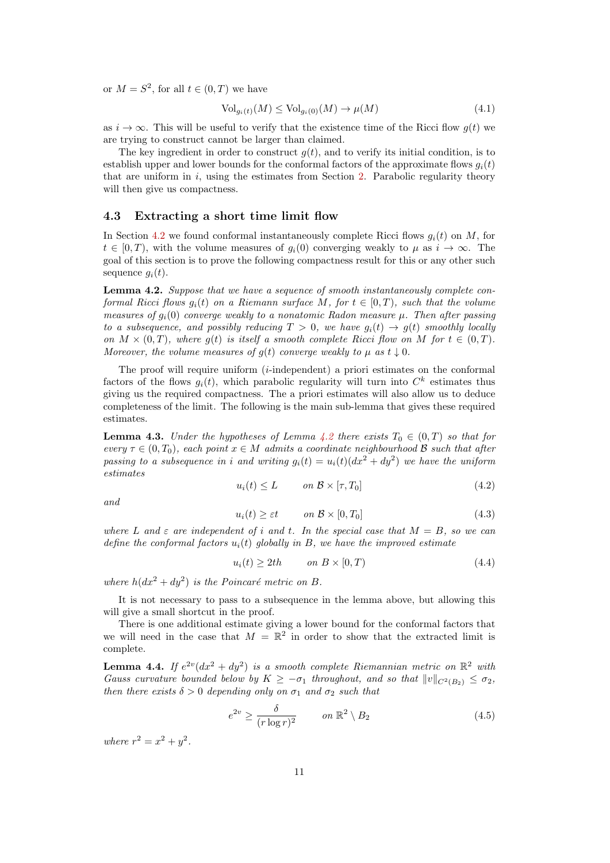or  $M = S^2$ , for all  $t \in (0, T)$  we have

<span id="page-10-6"></span>
$$
\text{Vol}_{g_i(t)}(M) \le \text{Vol}_{g_i(0)}(M) \to \mu(M) \tag{4.1}
$$

as  $i \to \infty$ . This will be useful to verify that the existence time of the Ricci flow  $g(t)$  we are trying to construct cannot be larger than claimed.

The key ingredient in order to construct  $q(t)$ , and to verify its initial condition, is to establish upper and lower bounds for the conformal factors of the approximate flows  $q_i(t)$ that are uniform in  $i$ , using the estimates from Section [2.](#page-3-2) Parabolic regularity theory will then give us compactness.

#### 4.3 Extracting a short time limit flow

In Section [4.2](#page-9-1) we found conformal instantaneously complete Ricci flows  $q_i(t)$  on M, for  $t \in [0, T)$ , with the volume measures of  $g_i(0)$  converging weakly to  $\mu$  as  $i \to \infty$ . The goal of this section is to prove the following compactness result for this or any other such sequence  $g_i(t)$ .

<span id="page-10-0"></span>Lemma 4.2. Suppose that we have a sequence of smooth instantaneously complete conformal Ricci flows  $q_i(t)$  on a Riemann surface M, for  $t \in [0, T)$ , such that the volume measures of  $g_i(0)$  converge weakly to a nonatomic Radon measure  $\mu$ . Then after passing to a subsequence, and possibly reducing  $T > 0$ , we have  $g_i(t) \to g(t)$  smoothly locally on  $M \times (0,T)$ , where g(t) is itself a smooth complete Ricci flow on M for  $t \in (0,T)$ . Moreover, the volume measures of  $g(t)$  converge weakly to  $\mu$  as  $t \downarrow 0$ .

The proof will require uniform  $(i$ -independent) a priori estimates on the conformal factors of the flows  $g_i(t)$ , which parabolic regularity will turn into  $C^k$  estimates thus giving us the required compactness. The a priori estimates will also allow us to deduce completeness of the limit. The following is the main sub-lemma that gives these required estimates.

<span id="page-10-2"></span>**Lemma 4.3.** Under the hypotheses of Lemma [4.2](#page-10-0) there exists  $T_0 \in (0,T)$  so that for every  $\tau \in (0,T_0)$ , each point  $x \in M$  admits a coordinate neighbourhood  $\mathcal B$  such that after passing to a subsequence in i and writing  $g_i(t) = u_i(t)(dx^2 + dy^2)$  we have the uniform estimates

<span id="page-10-4"></span>
$$
u_i(t) \le L \qquad on \ \mathcal{B} \times [\tau, T_0] \tag{4.2}
$$

and

<span id="page-10-5"></span>
$$
u_i(t) \ge \varepsilon t \qquad on \ \mathcal{B} \times [0, T_0] \tag{4.3}
$$

where L and  $\varepsilon$  are independent of i and t. In the special case that  $M = B$ , so we can define the conformal factors  $u_i(t)$  globally in B, we have the improved estimate

<span id="page-10-3"></span>
$$
u_i(t) \ge 2th \qquad on \ B \times [0, T) \tag{4.4}
$$

where  $h(dx^2 + dy^2)$  is the Poincaré metric on B.

It is not necessary to pass to a subsequence in the lemma above, but allowing this will give a small shortcut in the proof.

There is one additional estimate giving a lower bound for the conformal factors that we will need in the case that  $M = \mathbb{R}^2$  in order to show that the extracted limit is complete.

<span id="page-10-1"></span>**Lemma 4.4.** If  $e^{2v}(dx^2 + dy^2)$  is a smooth complete Riemannian metric on  $\mathbb{R}^2$  with Gauss curvature bounded below by  $K \geq -\sigma_1$  throughout, and so that  $||v||_{C^2(B_2)} \leq \sigma_2$ , then there exists  $\delta > 0$  depending only on  $\sigma_1$  and  $\sigma_2$  such that

$$
e^{2v} \ge \frac{\delta}{(r \log r)^2} \qquad on \ \mathbb{R}^2 \setminus B_2 \tag{4.5}
$$

where  $r^2 = x^2 + y^2$ .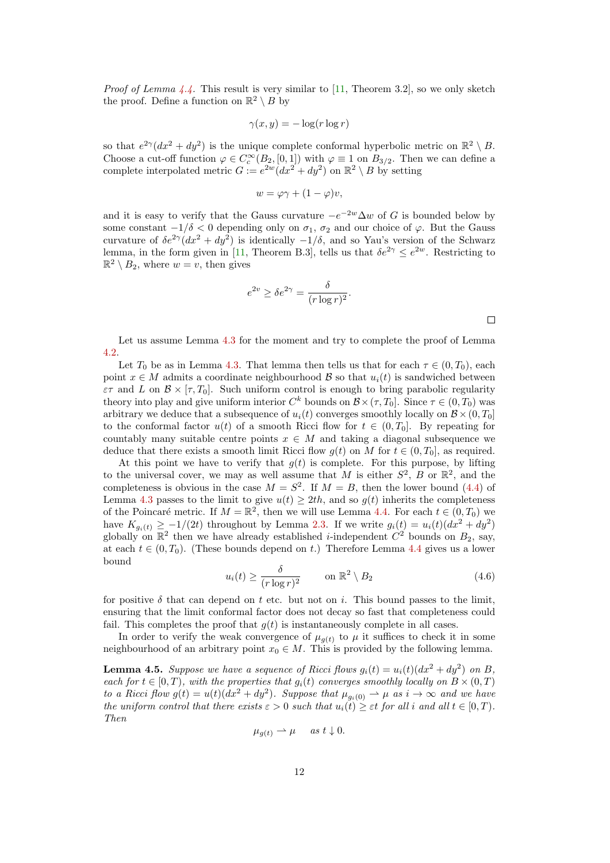*Proof of Lemma [4.4.](#page-10-1)* This result is very similar to [\[11,](#page-22-2) Theorem 3.2], so we only sketch the proof. Define a function on  $\mathbb{R}^2 \setminus B$  by

$$
\gamma(x, y) = -\log(r \log r)
$$

so that  $e^{2\gamma}(dx^2 + dy^2)$  is the unique complete conformal hyperbolic metric on  $\mathbb{R}^2 \setminus B$ . Choose a cut-off function  $\varphi \in C_c^{\infty}(B_2, [0, 1])$  with  $\varphi \equiv 1$  on  $B_{3/2}$ . Then we can define a complete interpolated metric  $G := e^{2w} (dx^2 + dy^2)$  on  $\mathbb{R}^2 \setminus B$  by setting

$$
w = \varphi \gamma + (1 - \varphi)v,
$$

and it is easy to verify that the Gauss curvature  $-e^{-2w}\Delta w$  of G is bounded below by some constant  $-1/\delta < 0$  depending only on  $\sigma_1$ ,  $\sigma_2$  and our choice of  $\varphi$ . But the Gauss curvature of  $\delta e^{2\gamma} (dx^2 + dy^2)$  is identically  $-1/\delta$ , and so Yau's version of the Schwarz lemma, in the form given in [\[11,](#page-22-2) Theorem B.3], tells us that  $\delta e^{2\gamma} \leq e^{2w}$ . Restricting to  $\mathbb{R}^2 \setminus B_2$ , where  $w = v$ , then gives

$$
e^{2v} \ge \delta e^{2\gamma} = \frac{\delta}{(r \log r)^2}.
$$

Let us assume Lemma [4.3](#page-10-2) for the moment and try to complete the proof of Lemma [4.2.](#page-10-0)

Let  $T_0$  be as in Lemma [4.3.](#page-10-2) That lemma then tells us that for each  $\tau \in (0, T_0)$ , each point  $x \in M$  admits a coordinate neighbourhood  $\beta$  so that  $u_i(t)$  is sandwiched between  $\varepsilon\tau$  and L on  $\mathcal{B} \times [\tau, T_0]$ . Such uniform control is enough to bring parabolic regularity theory into play and give uniform interior  $C^k$  bounds on  $\mathcal{B} \times (\tau, T_0]$ . Since  $\tau \in (0, T_0)$  was arbitrary we deduce that a subsequence of  $u_i(t)$  converges smoothly locally on  $\mathcal{B} \times (0, T_0]$ to the conformal factor  $u(t)$  of a smooth Ricci flow for  $t \in (0, T_0]$ . By repeating for countably many suitable centre points  $x \in M$  and taking a diagonal subsequence we deduce that there exists a smooth limit Ricci flow  $g(t)$  on M for  $t \in (0, T_0]$ , as required.

At this point we have to verify that  $g(t)$  is complete. For this purpose, by lifting to the universal cover, we may as well assume that M is either  $S^2$ , B or  $\mathbb{R}^2$ , and the completeness is obvious in the case  $M = S^2$ . If  $M = B$ , then the lower bound [\(4.4\)](#page-10-3) of Lemma [4.3](#page-10-2) passes to the limit to give  $u(t) \geq 2th$ , and so  $g(t)$  inherits the completeness of the Poincaré metric. If  $M = \mathbb{R}^2$ , then we will use Lemma [4.4.](#page-10-1) For each  $t \in (0, T_0)$  we have  $K_{g_i(t)} \geq -1/(2t)$  throughout by Lemma [2.3.](#page-5-3) If we write  $g_i(t) = u_i(t)(dx^2 + dy^2)$ globally on  $\mathbb{R}^2$  then we have already established *i*-independent  $C^2$  bounds on  $B_2$ , say, at each  $t \in (0, T_0)$ . (These bounds depend on t.) Therefore Lemma [4.4](#page-10-1) gives us a lower bound

$$
u_i(t) \ge \frac{\delta}{(r \log r)^2} \qquad \text{on } \mathbb{R}^2 \setminus B_2 \tag{4.6}
$$

for positive  $\delta$  that can depend on t etc. but not on i. This bound passes to the limit, ensuring that the limit conformal factor does not decay so fast that completeness could fail. This completes the proof that  $q(t)$  is instantaneously complete in all cases.

In order to verify the weak convergence of  $\mu_{q(t)}$  to  $\mu$  it suffices to check it in some neighbourhood of an arbitrary point  $x_0 \in M$ . This is provided by the following lemma.

**Lemma 4.5.** Suppose we have a sequence of Ricci flows  $g_i(t) = u_i(t)(dx^2 + dy^2)$  on B, each for  $t \in [0, T)$ , with the properties that  $q_i(t)$  converges smoothly locally on  $B \times (0, T)$ to a Ricci flow  $g(t) = u(t)(dx^2 + dy^2)$ . Suppose that  $\mu_{g_i(0)} \to \mu$  as  $i \to \infty$  and we have the uniform control that there exists  $\varepsilon > 0$  such that  $u_i(t) \geq \varepsilon t$  for all i and all  $t \in [0, T)$ . Then

$$
\mu_{g(t)} \rightharpoonup \mu \quad \text{as } t \downarrow 0.
$$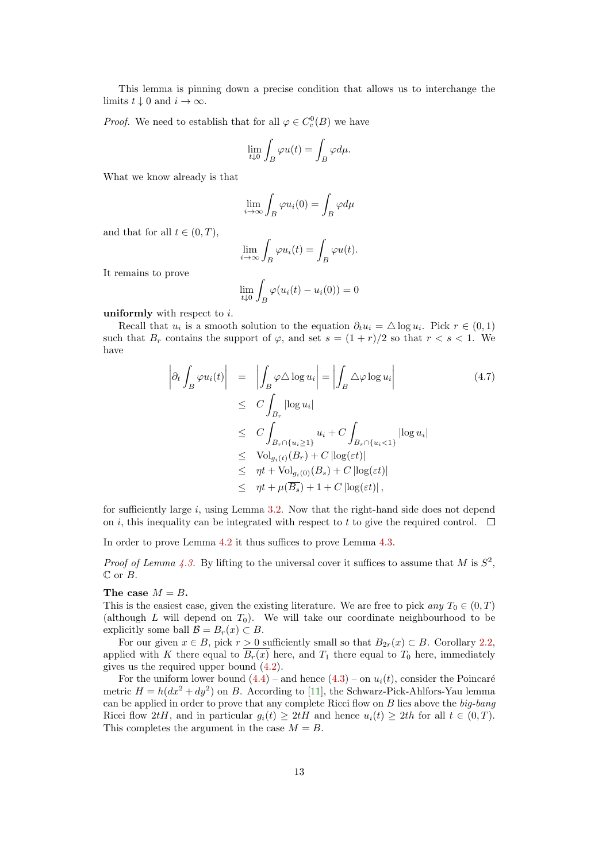This lemma is pinning down a precise condition that allows us to interchange the limits  $t \downarrow 0$  and  $i \to \infty$ .

*Proof.* We need to establish that for all  $\varphi \in C_c^0(B)$  we have

$$
\lim_{t \downarrow 0} \int_B \varphi u(t) = \int_B \varphi d\mu.
$$

What we know already is that

$$
\lim_{i \to \infty} \int_B \varphi u_i(0) = \int_B \varphi d\mu
$$

and that for all  $t \in (0, T)$ ,

$$
\lim_{i \to \infty} \int_B \varphi u_i(t) = \int_B \varphi u(t).
$$

It remains to prove

$$
\lim_{t \downarrow 0} \int_B \varphi(u_i(t) - u_i(0)) = 0
$$

uniformly with respect to  $i$ .

Recall that  $u_i$  is a smooth solution to the equation  $\partial_t u_i = \Delta \log u_i$ . Pick  $r \in (0,1)$ such that  $B_r$  contains the support of  $\varphi$ , and set  $s = (1 + r)/2$  so that  $r < s < 1$ . We have

$$
\left| \partial_t \int_B \varphi u_i(t) \right| = \left| \int_B \varphi \Delta \log u_i \right| = \left| \int_B \Delta \varphi \log u_i \right|
$$
\n
$$
\leq C \int_{B_r} |\log u_i|
$$
\n
$$
\leq C \int_{B_r \cap \{u_i \geq 1\}} u_i + C \int_{B_r \cap \{u_i < 1\}} |\log u_i|
$$
\n
$$
\leq \text{Vol}_{g_i(t)}(B_r) + C |\log(\varepsilon t)|
$$
\n
$$
\leq \eta t + \text{Vol}_{g_i(0)}(B_s) + C |\log(\varepsilon t)|
$$
\n
$$
\leq \eta t + \mu(\overline{B_s}) + 1 + C |\log(\varepsilon t)|,
$$
\n(4.7)

for sufficiently large  $i$ , using Lemma [3.2.](#page-8-1) Now that the right-hand side does not depend on i, this inequality can be integrated with respect to t to give the required control.  $\Box$ 

In order to prove Lemma [4.2](#page-10-0) it thus suffices to prove Lemma [4.3.](#page-10-2)

*Proof of Lemma [4.3.](#page-10-2)* By lifting to the universal cover it suffices to assume that M is  $S^2$ ,  $\mathbb C$  or  $B$ .

#### The case  $M = B$ .

This is the easiest case, given the existing literature. We are free to pick any  $T_0 \in (0, T)$ (although L will depend on  $T_0$ ). We will take our coordinate neighbourhood to be explicitly some ball  $\mathcal{B} = B_r(x) \subset B$ .

For our given  $x \in B$ , pick  $r > 0$  sufficiently small so that  $B_{2r}(x) \subset B$ . Corollary [2.2,](#page-4-2) applied with K there equal to  $\overline{B_r(x)}$  here, and  $T_1$  there equal to  $T_0$  here, immediately gives us the required upper bound [\(4.2\)](#page-10-4).

For the uniform lower bound  $(4.4)$  – and hence  $(4.3)$  – on  $u_i(t)$ , consider the Poincaré metric  $H = h(dx^2 + dy^2)$  on B. According to [\[11\]](#page-22-2), the Schwarz-Pick-Ahlfors-Yau lemma can be applied in order to prove that any complete Ricci flow on  $B$  lies above the  $big-bang$ Ricci flow 2tH, and in particular  $g_i(t) \geq 2tH$  and hence  $u_i(t) \geq 2th$  for all  $t \in (0,T)$ . This completes the argument in the case  $M = B$ .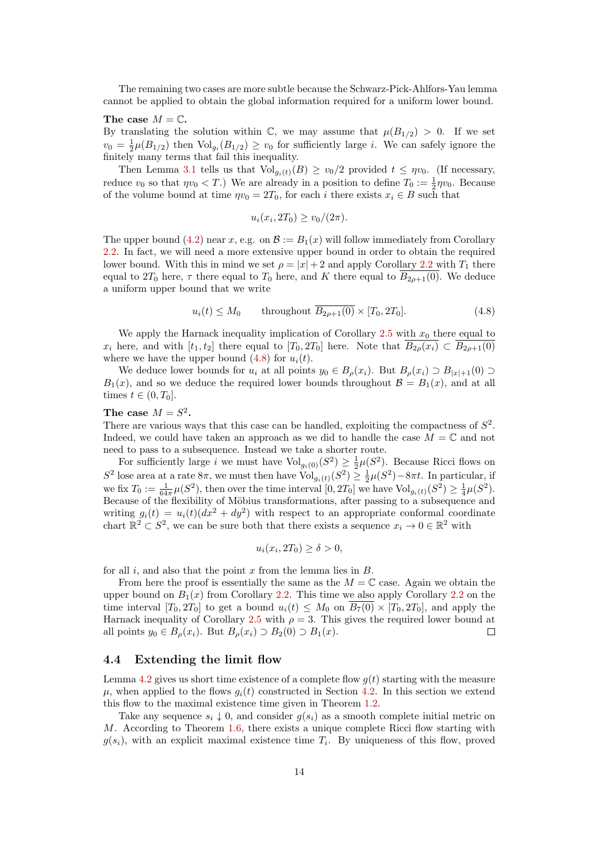The remaining two cases are more subtle because the Schwarz-Pick-Ahlfors-Yau lemma cannot be applied to obtain the global information required for a uniform lower bound.

#### The case  $M = \mathbb{C}$ .

By translating the solution within  $\mathbb{C}$ , we may assume that  $\mu(B_{1/2}) > 0$ . If we set  $v_0 = \frac{1}{2}\mu(B_{1/2})$  then  $\text{Vol}_{g_i}(B_{1/2}) \ge v_0$  for sufficiently large *i*. We can safely ignore the finitely many terms that fail this inequality.

Then Lemma [3.1](#page-7-0) tells us that  $\text{Vol}_{g_i(t)}(B) \geq v_0/2$  provided  $t \leq \eta v_0$ . (If necessary, reduce  $v_0$  so that  $\eta v_0 < T$ .) We are already in a position to define  $T_0 := \frac{1}{2}\eta v_0$ . Because of the volume bound at time  $\eta v_0 = 2T_0$ , for each i there exists  $x_i \in B$  such that

$$
u_i(x_i, 2T_0) \ge v_0/(2\pi).
$$

The upper bound [\(4.2\)](#page-10-4) near x, e.g. on  $\mathcal{B} := B_1(x)$  will follow immediately from Corollary [2.2.](#page-4-2) In fact, we will need a more extensive upper bound in order to obtain the required lower bound. With this in mind we set  $\rho = |x| + 2$  and apply Corollary [2.2](#page-4-2) with  $T_1$  there equal to  $2T_0$  here,  $\tau$  there equal to  $T_0$  here, and K there equal to  $\overline{B_{2\rho+1}(0)}$ . We deduce a uniform upper bound that we write

<span id="page-13-0"></span>
$$
u_i(t) \le M_0 \qquad \text{throughout } \overline{B_{2\rho+1}(0)} \times [T_0, 2T_0]. \tag{4.8}
$$

We apply the Harnack inequality implication of Corollary [2.5](#page-5-4) with  $x_0$  there equal to  $x_i$  here, and with  $[t_1, t_2]$  there equal to  $[T_0, 2T_0]$  here. Note that  $B_{2\rho}(x_i) \subset B_{2\rho+1}(0)$ where we have the upper bound  $(4.8)$  for  $u_i(t)$ .

We deduce lower bounds for  $u_i$  at all points  $y_0 \in B_\rho(x_i)$ . But  $B_\rho(x_i) \supset B_{|x|+1}(0) \supset$  $B_1(x)$ , and so we deduce the required lower bounds throughout  $B = B_1(x)$ , and at all times  $t \in (0, T_0]$ .

### The case  $M = S^2$ .

There are various ways that this case can be handled, exploiting the compactness of  $S^2$ . Indeed, we could have taken an approach as we did to handle the case  $M = \mathbb{C}$  and not need to pass to a subsequence. Instead we take a shorter route.

For sufficiently large i we must have  $\text{Vol}_{g_i(0)}(S^2) \geq \frac{1}{2}\mu(S^2)$ . Because Ricci flows on S<sup>2</sup> lose area at a rate 8π, we must then have Vol<sub>gi</sub><sub>(t)</sub>(S<sup>2</sup>)  $\geq \frac{1}{2}\mu(S^2) - 8\pi t$ . In particular, if we fix  $T_0 := \frac{1}{64\pi}\mu(S^2)$ , then over the time interval  $[0, 2T_0]$  we have  $\text{Vol}_{g_i(t)}(S^2) \geq \frac{1}{4}\mu(S^2)$ . Because of the flexibility of Möbius transformations, after passing to a subsequence and writing  $g_i(t) = u_i(t)(dx^2 + dy^2)$  with respect to an appropriate conformal coordinate chart  $\mathbb{R}^2 \subset S^2$ , we can be sure both that there exists a sequence  $x_i \to 0 \in \mathbb{R}^2$  with

$$
u_i(x_i, 2T_0) \ge \delta > 0,
$$

for all  $i$ , and also that the point  $x$  from the lemma lies in  $B$ .

From here the proof is essentially the same as the  $M = \mathbb{C}$  case. Again we obtain the upper bound on  $B_1(x)$  from Corollary [2.2.](#page-4-2) This time we also apply Corollary [2.2](#page-4-2) on the time interval  $[T_0, 2T_0]$  to get a bound  $u_i(t) \leq M_0$  on  $\overline{B_7(0)} \times [T_0, 2T_0]$ , and apply the Harnack inequality of Corollary [2.5](#page-5-4) with  $\rho = 3$ . This gives the required lower bound at all points  $y_0 \in B_o(x_i)$ . But  $B_o(x_i) \supset B_2(0) \supset B_1(x)$ .  $\Box$ 

## 4.4 Extending the limit flow

Lemma [4.2](#page-10-0) gives us short time existence of a complete flow  $q(t)$  starting with the measure  $\mu$ , when applied to the flows  $g_i(t)$  constructed in Section [4.2.](#page-9-1) In this section we extend this flow to the maximal existence time given in Theorem [1.2.](#page-1-0)

Take any sequence  $s_i \downarrow 0$ , and consider  $g(s_i)$  as a smooth complete initial metric on M. According to Theorem [1.6,](#page-3-0) there exists a unique complete Ricci flow starting with  $g(s_i)$ , with an explicit maximal existence time  $T_i$ . By uniqueness of this flow, proved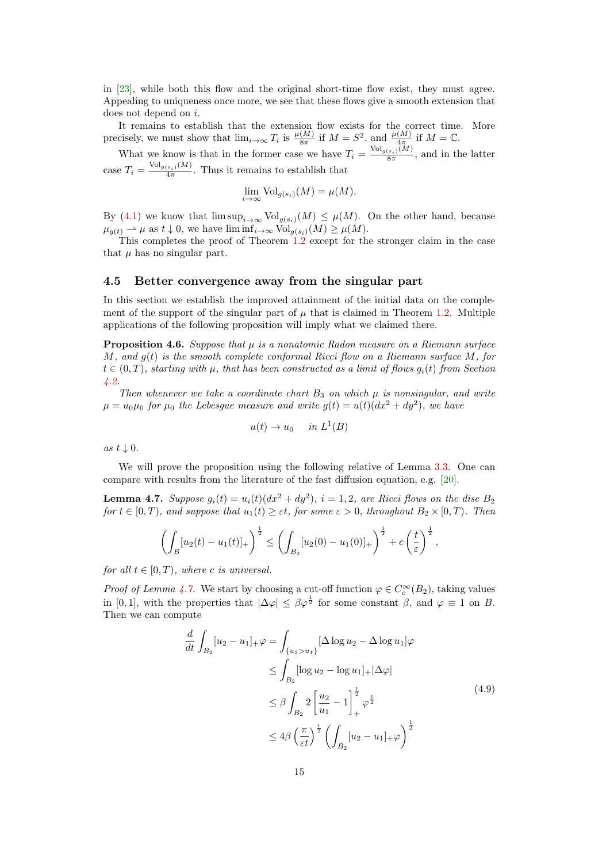in [\[23\]](#page-23-0), while both this flow and the original short-time flow exist, they must agree. Appealing to uniqueness once more, we see that these flows give a smooth extension that does not depend on i.

It remains to establish that the extension flow exists for the correct time. More precisely, we must show that  $\lim_{i\to\infty} T_i$  is  $\frac{\mu(M)}{8\pi}$  if  $M=S^2$ , and  $\frac{\mu(M)}{4\pi}$  if  $M=\mathbb{C}$ .

What we know is that in the former case we have  $T_i = \frac{\text{Vol}_{g(s_i)}(M)}{8\pi}$  $\frac{(s_i)(M)}{8\pi}$ , and in the latter case  $T_i = \frac{\text{Vol}_{g(s_i)}(M)}{4\pi}$  $\frac{(s_i)^{(M)}}{4\pi}$ . Thus it remains to establish that

$$
\lim_{i \to \infty} \text{Vol}_{g(s_i)}(M) = \mu(M).
$$

By [\(4.1\)](#page-10-6) we know that  $\limsup_{i\to\infty} Vol_{g(s_i)}(M) \leq \mu(M)$ . On the other hand, because  $\mu_{g(t)} \rightharpoonup \mu$  as  $t \downarrow 0$ , we have  $\liminf_{i \to \infty} \text{Vol}_{g(s_i)}(M) \geq \mu(M)$ .

This completes the proof of Theorem [1.2](#page-1-0) except for the stronger claim in the case that  $\mu$  has no singular part.

## 4.5 Better convergence away from the singular part

In this section we establish the improved attainment of the initial data on the complement of the support of the singular part of  $\mu$  that is claimed in Theorem [1.2.](#page-1-0) Multiple applications of the following proposition will imply what we claimed there.

<span id="page-14-1"></span>**Proposition 4.6.** Suppose that  $\mu$  is a nonatomic Radon measure on a Riemann surface M, and  $q(t)$  is the smooth complete conformal Ricci flow on a Riemann surface M, for  $t \in (0,T)$ , starting with  $\mu$ , that has been constructed as a limit of flows  $g_i(t)$  from Section [4.2.](#page-9-1)

Then whenever we take a coordinate chart  $B_3$  on which  $\mu$  is nonsingular, and write  $\mu = u_0 \mu_0$  for  $\mu_0$  the Lebesgue measure and write  $g(t) = u(t) (dx^2 + dy^2)$ , we have

$$
u(t) \to u_0 \quad in \ L^1(B)
$$

as  $t \downarrow 0$ .

We will prove the proposition using the following relative of Lemma [3.3.](#page-8-0) One can compare with results from the literature of the fast diffusion equation, e.g. [\[20\]](#page-23-8).

<span id="page-14-0"></span>**Lemma 4.7.** Suppose  $g_i(t) = u_i(t)(dx^2 + dy^2)$ ,  $i = 1, 2$ , are Ricci flows on the disc  $B_2$ for  $t \in [0, T)$ , and suppose that  $u_1(t) \geq \varepsilon$ t, for some  $\varepsilon > 0$ , throughout  $B_2 \times [0, T)$ . Then

$$
\left(\int_B [u_2(t) - u_1(t)]_+\right)^{\frac{1}{2}} \le \left(\int_{B_2} [u_2(0) - u_1(0)]_+\right)^{\frac{1}{2}} + c\left(\frac{t}{\varepsilon}\right)^{\frac{1}{2}},
$$

for all  $t \in [0, T)$ , where c is universal.

*Proof of Lemma [4.7.](#page-14-0)* We start by choosing a cut-off function  $\varphi \in C_c^{\infty}(B_2)$ , taking values in [0, 1], with the properties that  $|\Delta \varphi| \leq \beta \varphi^{\frac{1}{2}}$  for some constant  $\beta$ , and  $\varphi \equiv 1$  on B. Then we can compute

$$
\frac{d}{dt} \int_{B_2} [u_2 - u_1]_+ \varphi = \int_{\{u_2 > u_1\}} [\Delta \log u_2 - \Delta \log u_1] \varphi
$$
\n
$$
\leq \int_{B_2} [\log u_2 - \log u_1]_+ |\Delta \varphi|
$$
\n
$$
\leq \beta \int_{B_2} 2 \left[ \frac{u_2}{u_1} - 1 \right]_+^{\frac{1}{2}} \varphi^{\frac{1}{2}}
$$
\n
$$
\leq 4\beta \left( \frac{\pi}{\varepsilon t} \right)^{\frac{1}{2}} \left( \int_{B_2} [u_2 - u_1]_+ \varphi \right)^{\frac{1}{2}}
$$
\n(4.9)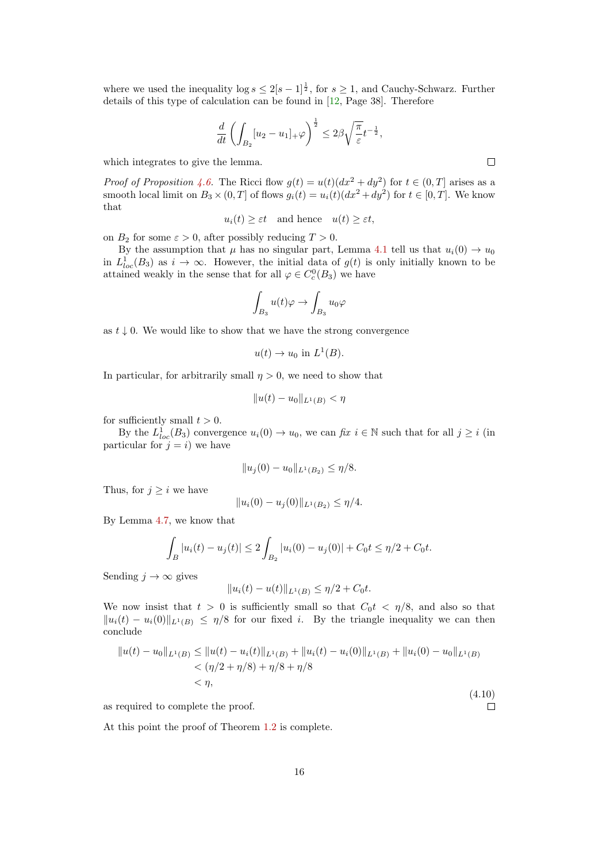where we used the inequality  $\log s \leq 2[s-1]^{\frac{1}{2}}$ , for  $s \geq 1$ , and Cauchy-Schwarz. Further details of this type of calculation can be found in [\[12,](#page-22-13) Page 38]. Therefore

$$
\frac{d}{dt}\left(\int_{B_2}[u_2 - u_1]_+\varphi\right)^{\frac{1}{2}} \leq 2\beta\sqrt{\frac{\pi}{\varepsilon}}t^{-\frac{1}{2}},
$$

which integrates to give the lemma.

*Proof of Proposition [4.6.](#page-14-1)* The Ricci flow  $g(t) = u(t)(dx^2 + dy^2)$  for  $t \in (0, T]$  arises as a smooth local limit on  $B_3 \times (0,T]$  of flows  $g_i(t) = u_i(t)(dx^2 + dy^2)$  for  $t \in [0,T]$ . We know that

 $u_i(t) \geq \varepsilon t$  and hence  $u(t) \geq \varepsilon t$ ,

on  $B_2$  for some  $\varepsilon > 0$ , after possibly reducing  $T > 0$ .

By the assumption that  $\mu$  has no singular part, Lemma [4.1](#page-9-0) tell us that  $u_i(0) \to u_0$ in  $L^1_{loc}(B_3)$  as  $i \to \infty$ . However, the initial data of  $g(t)$  is only initially known to be attained weakly in the sense that for all  $\varphi \in C_c^0(B_3)$  we have

$$
\int_{B_3} u(t) \varphi \to \int_{B_3} u_0 \varphi
$$

as  $t \downarrow 0$ . We would like to show that we have the strong convergence

$$
u(t) \to u_0 \text{ in } L^1(B).
$$

In particular, for arbitrarily small  $\eta > 0$ , we need to show that

$$
||u(t) - u_0||_{L^1(B)} < \eta
$$

for sufficiently small  $t > 0$ .

By the  $L^1_{loc}(B_3)$  convergence  $u_i(0) \to u_0$ , we can fix  $i \in \mathbb{N}$  such that for all  $j \geq i$  (in particular for  $j = i$ ) we have

$$
||u_j(0) - u_0||_{L^1(B_2)} \le \eta/8.
$$

Thus, for  $j \geq i$  we have

$$
||u_i(0) - u_j(0)||_{L^1(B_2)} \le \eta/4.
$$

By Lemma [4.7,](#page-14-0) we know that

$$
\int_{B} |u_i(t) - u_j(t)| \le 2 \int_{B_2} |u_i(0) - u_j(0)| + C_0 t \le \eta/2 + C_0 t.
$$

Sending  $j \to \infty$  gives

$$
||u_i(t) - u(t)||_{L^1(B)} \le \eta/2 + C_0 t.
$$

We now insist that  $t > 0$  is sufficiently small so that  $C_0 t < \eta/8$ , and also so that  $||u_i(t) - u_i(0)||_{L^1(B)} \leq \eta/8$  for our fixed i. By the triangle inequality we can then conclude

$$
||u(t) - u_0||_{L^1(B)} \le ||u(t) - u_i(t)||_{L^1(B)} + ||u_i(t) - u_i(0)||_{L^1(B)} + ||u_i(0) - u_0||_{L^1(B)}
$$
  

$$
< (\eta/2 + \eta/8) + \eta/8 + \eta/8
$$
  

$$
< \eta,
$$
 (4.10)

as required to complete the proof.

At this point the proof of Theorem [1.2](#page-1-0) is complete.

 $\Box$ 

 $\Box$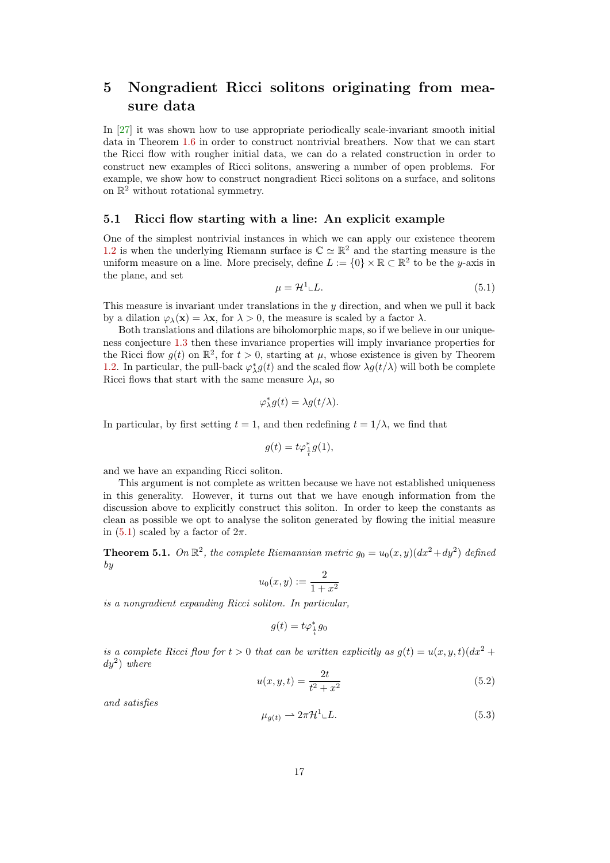# <span id="page-16-0"></span>5 Nongradient Ricci solitons originating from measure data

In [\[27\]](#page-23-9) it was shown how to use appropriate periodically scale-invariant smooth initial data in Theorem [1.6](#page-3-0) in order to construct nontrivial breathers. Now that we can start the Ricci flow with rougher initial data, we can do a related construction in order to construct new examples of Ricci solitons, answering a number of open problems. For example, we show how to construct nongradient Ricci solitons on a surface, and solitons on  $\mathbb{R}^2$  without rotational symmetry.

## <span id="page-16-3"></span>5.1 Ricci flow starting with a line: An explicit example

One of the simplest nontrivial instances in which we can apply our existence theorem [1.2](#page-1-0) is when the underlying Riemann surface is  $\mathbb{C} \simeq \mathbb{R}^2$  and the starting measure is the uniform measure on a line. More precisely, define  $L := \{0\} \times \mathbb{R} \subset \mathbb{R}^2$  to be the y-axis in the plane, and set

<span id="page-16-1"></span>
$$
\mu = \mathcal{H}^1 \llcorner L. \tag{5.1}
$$

This measure is invariant under translations in the  $y$  direction, and when we pull it back by a dilation  $\varphi_{\lambda}(\mathbf{x}) = \lambda \mathbf{x}$ , for  $\lambda > 0$ , the measure is scaled by a factor  $\lambda$ .

Both translations and dilations are biholomorphic maps, so if we believe in our uniqueness conjecture [1.3](#page-1-1) then these invariance properties will imply invariance properties for the Ricci flow  $g(t)$  on  $\mathbb{R}^2$ , for  $t > 0$ , starting at  $\mu$ , whose existence is given by Theorem [1.2.](#page-1-0) In particular, the pull-back  $\varphi_{\lambda}^* g(t)$  and the scaled flow  $\lambda g(t/\lambda)$  will both be complete Ricci flows that start with the same measure  $\lambda \mu$ , so

$$
\varphi_{\lambda}^* g(t) = \lambda g(t/\lambda).
$$

In particular, by first setting  $t = 1$ , and then redefining  $t = 1/\lambda$ , we find that

$$
g(t) = t\varphi_{\frac{1}{t}}^*g(1),
$$

and we have an expanding Ricci soliton.

This argument is not complete as written because we have not established uniqueness in this generality. However, it turns out that we have enough information from the discussion above to explicitly construct this soliton. In order to keep the constants as clean as possible we opt to analyse the soliton generated by flowing the initial measure in [\(5.1\)](#page-16-1) scaled by a factor of  $2\pi$ .

**Theorem 5.1.** On  $\mathbb{R}^2$ , the complete Riemannian metric  $g_0 = u_0(x, y)(dx^2 + dy^2)$  defined by

$$
u_0(x,y):=\frac{2}{1+x^2}
$$

is a nongradient expanding Ricci soliton. In particular,

$$
g(t)=t\varphi^*_{\frac{1}{t}}g_0
$$

is a complete Ricci flow for  $t > 0$  that can be written explicitly as  $g(t) = u(x, y, t)(dx^2 +$  $dy^2$ ) where

<span id="page-16-2"></span>
$$
u(x, y, t) = \frac{2t}{t^2 + x^2}
$$
\n(5.2)

and satisfies

$$
\mu_{g(t)} \rightharpoonup 2\pi \mathcal{H}^1 \llcorner L. \tag{5.3}
$$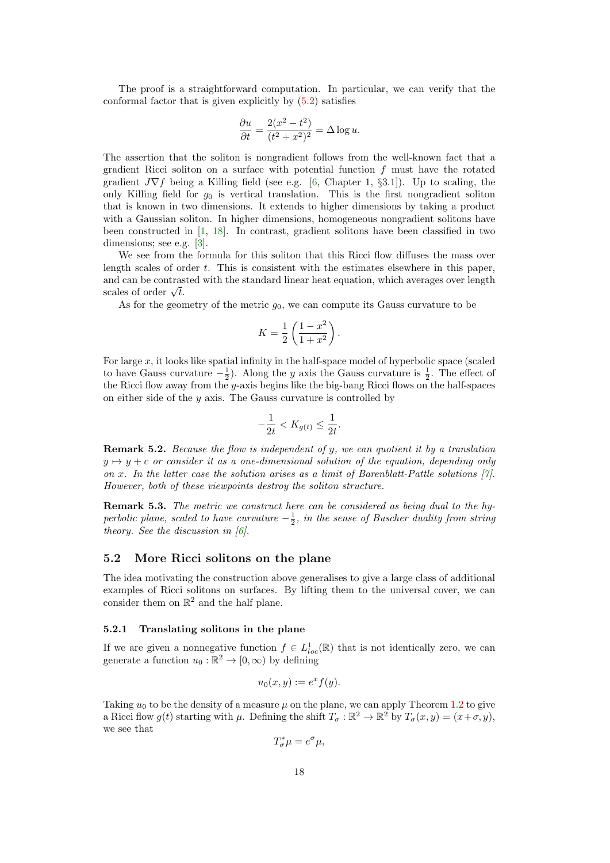The proof is a straightforward computation. In particular, we can verify that the conformal factor that is given explicitly by [\(5.2\)](#page-16-2) satisfies

$$
\frac{\partial u}{\partial t} = \frac{2(x^2 - t^2)}{(t^2 + x^2)^2} = \Delta \log u.
$$

The assertion that the soliton is nongradient follows from the well-known fact that a gradient Ricci soliton on a surface with potential function  $f$  must have the rotated gradient  $J\nabla f$  being a Killing field (see e.g. [\[6,](#page-22-0) Chapter 1, §3.1]). Up to scaling, the only Killing field for  $g_0$  is vertical translation. This is the first nongradient soliton that is known in two dimensions. It extends to higher dimensions by taking a product with a Gaussian soliton. In higher dimensions, homogeneous nongradient solitons have been constructed in [\[1,](#page-22-14) [18\]](#page-22-15). In contrast, gradient solitons have been classified in two dimensions; see e.g. [\[3\]](#page-22-16).

We see from the formula for this soliton that this Ricci flow diffuses the mass over length scales of order t. This is consistent with the estimates elsewhere in this paper, and can be contrasted with the standard linear heat equation, which averages over length and can be contras<br>scales of order  $\sqrt{t}.$ 

As for the geometry of the metric  $g_0$ , we can compute its Gauss curvature to be

$$
K = \frac{1}{2} \left( \frac{1 - x^2}{1 + x^2} \right).
$$

For large  $x$ , it looks like spatial infinity in the half-space model of hyperbolic space (scaled to have Gauss curvature  $-\frac{1}{2}$ ). Along the y axis the Gauss curvature is  $\frac{1}{2}$ . The effect of the Ricci flow away from the y-axis begins like the big-bang Ricci flows on the half-spaces on either side of the  $y$  axis. The Gauss curvature is controlled by

$$
-\frac{1}{2t} < K_{g(t)} \le \frac{1}{2t}.
$$

**Remark 5.2.** Because the flow is independent of y, we can quotient it by a translation  $y \mapsto y + c$  or consider it as a one-dimensional solution of the equation, depending only on x. In the latter case the solution arises as a limit of Barenblatt-Pattle solutions  $[7]$ . However, both of these viewpoints destroy the soliton structure.

**Remark 5.3.** The metric we construct here can be considered as being dual to the hyperbolic plane, scaled to have curvature  $-\frac{1}{2}$ , in the sense of Buscher duality from string theory. See the discussion in  $[6]$ .

## 5.2 More Ricci solitons on the plane

The idea motivating the construction above generalises to give a large class of additional examples of Ricci solitons on surfaces. By lifting them to the universal cover, we can consider them on  $\mathbb{R}^2$  and the half plane.

#### <span id="page-17-0"></span>5.2.1 Translating solitons in the plane

If we are given a nonnegative function  $f \in L^1_{loc}(\mathbb{R})$  that is not identically zero, we can generate a function  $u_0 : \mathbb{R}^2 \to [0, \infty)$  by defining

$$
u_0(x,y) := e^x f(y).
$$

Taking  $u_0$  to be the density of a measure  $\mu$  on the plane, we can apply Theorem [1.2](#page-1-0) to give a Ricci flow  $g(t)$  starting with  $\mu$ . Defining the shift  $T_{\sigma} : \mathbb{R}^2 \to \mathbb{R}^2$  by  $T_{\sigma}(x, y) = (x + \sigma, y)$ , we see that

$$
T^*_{\sigma}\mu = e^{\sigma}\mu,
$$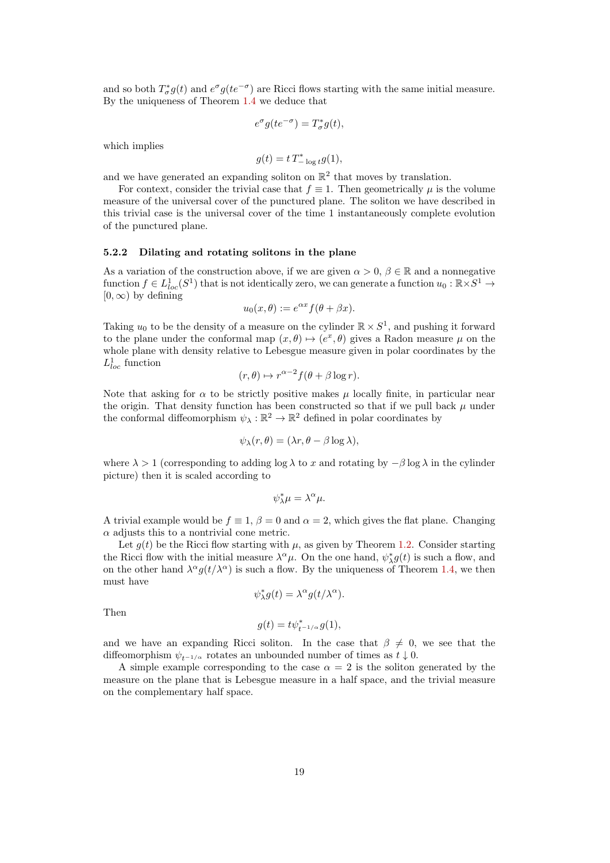and so both  $T^*_{\sigma}g(t)$  and  $e^{\sigma}g(te^{-\sigma})$  are Ricci flows starting with the same initial measure. By the uniqueness of Theorem [1.4](#page-2-1) we deduce that

$$
e^{\sigma}g(te^{-\sigma}) = T_{\sigma}^*g(t),
$$

which implies

$$
g(t) = t T^*_{-\log t} g(1),
$$

and we have generated an expanding soliton on  $\mathbb{R}^2$  that moves by translation.

For context, consider the trivial case that  $f \equiv 1$ . Then geometrically u is the volume measure of the universal cover of the punctured plane. The soliton we have described in this trivial case is the universal cover of the time 1 instantaneously complete evolution of the punctured plane.

#### <span id="page-18-0"></span>5.2.2 Dilating and rotating solitons in the plane

As a variation of the construction above, if we are given  $\alpha > 0$ ,  $\beta \in \mathbb{R}$  and a nonnegative function  $f \in L^1_{loc}(S^1)$  that is not identically zero, we can generate a function  $u_0 : \mathbb{R} \times S^1 \to$  $[0, \infty)$  by defining

$$
u_0(x,\theta) := e^{\alpha x} f(\theta + \beta x).
$$

Taking  $u_0$  to be the density of a measure on the cylinder  $\mathbb{R} \times S^1$ , and pushing it forward to the plane under the conformal map  $(x, \theta) \mapsto (e^x, \theta)$  gives a Radon measure  $\mu$  on the whole plane with density relative to Lebesgue measure given in polar coordinates by the  $L^1_{loc}$  function

$$
(r,\theta) \mapsto r^{\alpha-2} f(\theta + \beta \log r).
$$

Note that asking for  $\alpha$  to be strictly positive makes  $\mu$  locally finite, in particular near the origin. That density function has been constructed so that if we pull back  $\mu$  under the conformal diffeomorphism  $\psi_{\lambda}: \mathbb{R}^2 \to \mathbb{R}^2$  defined in polar coordinates by

$$
\psi_{\lambda}(r,\theta)=(\lambda r,\theta-\beta\log\lambda),
$$

where  $\lambda > 1$  (corresponding to adding log  $\lambda$  to x and rotating by  $-\beta \log \lambda$  in the cylinder picture) then it is scaled according to

$$
\psi_{\lambda}^*\mu=\lambda^{\alpha}\mu.
$$

A trivial example would be  $f \equiv 1, \beta = 0$  and  $\alpha = 2$ , which gives the flat plane. Changing  $\alpha$  adjusts this to a nontrivial cone metric.

Let  $q(t)$  be the Ricci flow starting with  $\mu$ , as given by Theorem [1.2.](#page-1-0) Consider starting the Ricci flow with the initial measure  $\lambda^{\alpha}\mu$ . On the one hand,  $\psi_{\lambda}^{*}g(t)$  is such a flow, and on the other hand  $\lambda^{\alpha} g(t/\lambda^{\alpha})$  is such a flow. By the uniqueness of Theorem [1.4,](#page-2-1) we then must have

$$
\psi_\lambda^*g(t)=\lambda^\alpha g(t/\lambda^\alpha).
$$

Then

$$
g(t) = t\psi_{t^{-1/\alpha}}^* g(1),
$$

and we have an expanding Ricci soliton. In the case that  $\beta \neq 0$ , we see that the diffeomorphism  $\psi_{t-1/\alpha}$  rotates an unbounded number of times as  $t \downarrow 0$ .

A simple example corresponding to the case  $\alpha = 2$  is the soliton generated by the measure on the plane that is Lebesgue measure in a half space, and the trivial measure on the complementary half space.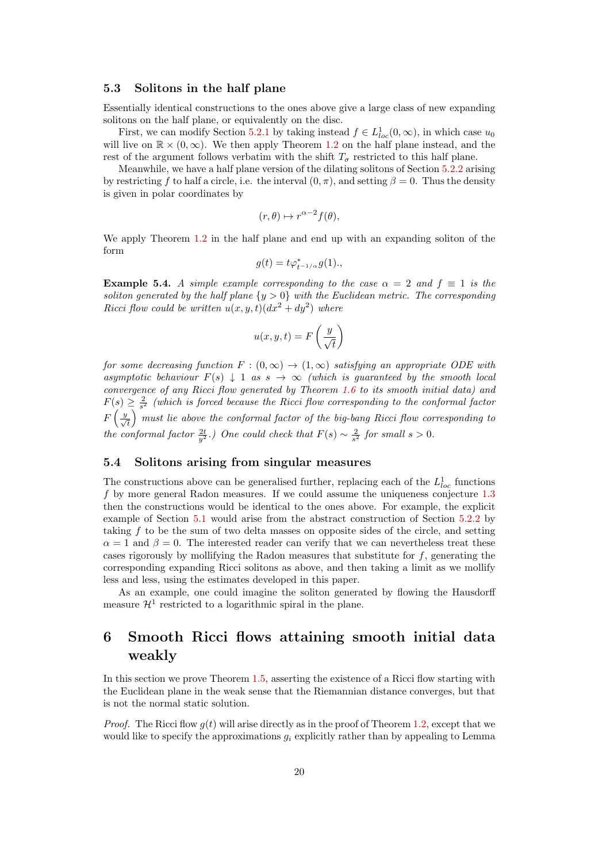#### 5.3 Solitons in the half plane

Essentially identical constructions to the ones above give a large class of new expanding solitons on the half plane, or equivalently on the disc.

First, we can modify Section [5.2.1](#page-17-0) by taking instead  $f \in L^1_{loc}(0, \infty)$ , in which case  $u_0$ will live on  $\mathbb{R} \times (0, \infty)$ . We then apply Theorem [1.2](#page-1-0) on the half plane instead, and the rest of the argument follows verbatim with the shift  $T_{\sigma}$  restricted to this half plane.

Meanwhile, we have a half plane version of the dilating solitons of Section [5.2.2](#page-18-0) arising by restricting f to half a circle, i.e. the interval  $(0, \pi)$ , and setting  $\beta = 0$ . Thus the density is given in polar coordinates by

$$
(r,\theta) \mapsto r^{\alpha-2}f(\theta),
$$

We apply Theorem [1.2](#page-1-0) in the half plane and end up with an expanding soliton of the form

$$
g(t)=t\varphi_{t^{-1/\alpha}}^*g(1),
$$

<span id="page-19-1"></span>**Example 5.4.** A simple example corresponding to the case  $\alpha = 2$  and  $f \equiv 1$  is the soliton generated by the half plane  $\{y > 0\}$  with the Euclidean metric. The corresponding Ricci flow could be written  $u(x, y, t)(dx^2 + dy^2)$  where

$$
u(x, y, t) = F\left(\frac{y}{\sqrt{t}}\right)
$$

for some decreasing function  $F:(0,\infty) \to (1,\infty)$  satisfying an appropriate ODE with asymptotic behaviour  $F(s) \downarrow 1$  as  $s \to \infty$  (which is guaranteed by the smooth local convergence of any Ricci flow generated by Theorem [1.6](#page-3-0) to its smooth initial data) and  $F(s) \geq \frac{2}{s^2}$  (which is forced because the Ricci flow corresponding to the conformal factor  $F\left(\frac{y}{\sqrt{t}}\right)$  must lie above the conformal factor of the big-bang Ricci flow corresponding to the conformal factor  $\frac{2t}{y^2}$ .) One could check that  $F(s) \sim \frac{2}{s^2}$  for small  $s > 0$ .

#### 5.4 Solitons arising from singular measures

The constructions above can be generalised further, replacing each of the  $L_{loc}^1$  functions f by more general Radon measures. If we could assume the uniqueness conjecture [1.3](#page-1-1) then the constructions would be identical to the ones above. For example, the explicit example of Section [5.1](#page-16-3) would arise from the abstract construction of Section [5.2.2](#page-18-0) by taking  $f$  to be the sum of two delta masses on opposite sides of the circle, and setting  $\alpha = 1$  and  $\beta = 0$ . The interested reader can verify that we can nevertheless treat these cases rigorously by mollifying the Radon measures that substitute for f, generating the corresponding expanding Ricci solitons as above, and then taking a limit as we mollify less and less, using the estimates developed in this paper.

As an example, one could imagine the soliton generated by flowing the Hausdorff measure  $\mathcal{H}^1$  restricted to a logarithmic spiral in the plane.

# <span id="page-19-0"></span>6 Smooth Ricci flows attaining smooth initial data weakly

In this section we prove Theorem [1.5,](#page-2-0) asserting the existence of a Ricci flow starting with the Euclidean plane in the weak sense that the Riemannian distance converges, but that is not the normal static solution.

*Proof.* The Ricci flow  $q(t)$  will arise directly as in the proof of Theorem [1.2,](#page-1-0) except that we would like to specify the approximations  $g_i$  explicitly rather than by appealing to Lemma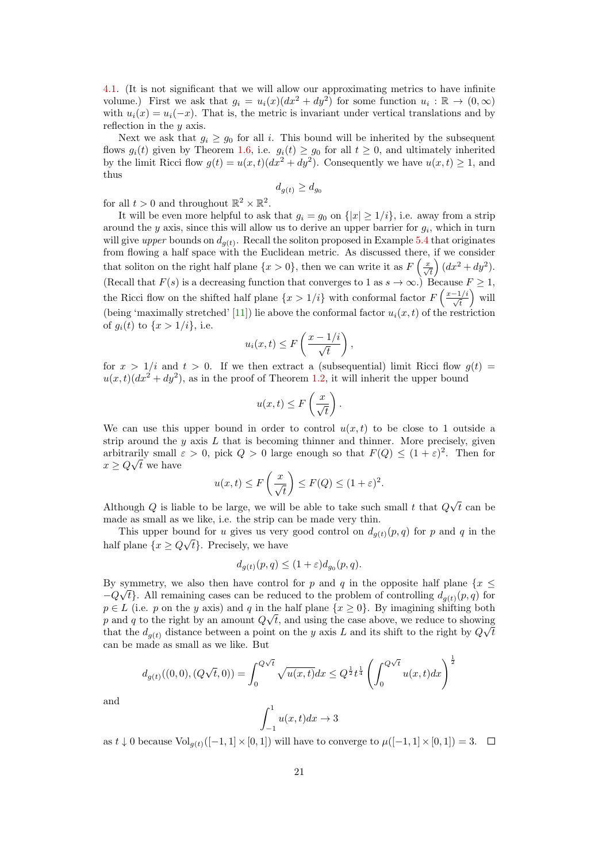[4.1.](#page-9-0) (It is not significant that we will allow our approximating metrics to have infinite volume.) First we ask that  $g_i = u_i(x)(dx^2 + dy^2)$  for some function  $u_i : \mathbb{R} \to (0, \infty)$ with  $u_i(x) = u_i(-x)$ . That is, the metric is invariant under vertical translations and by reflection in the  $y$  axis.

Next we ask that  $g_i \geq g_0$  for all i. This bound will be inherited by the subsequent flows  $g_i(t)$  given by Theorem [1.6,](#page-3-0) i.e.  $g_i(t) \ge g_0$  for all  $t \ge 0$ , and ultimately inherited by the limit Ricci flow  $g(t) = u(x,t)(dx^2 + dy^2)$ . Consequently we have  $u(x,t) \ge 1$ , and thus

$$
d_{g(t)} \ge d_{g_0}
$$

for all  $t > 0$  and throughout  $\mathbb{R}^2 \times \mathbb{R}^2$ .

It will be even more helpful to ask that  $g_i = g_0$  on  $\{|x| \geq 1/i\}$ , i.e. away from a strip around the y axis, since this will allow us to derive an upper barrier for  $g_i$ , which in turn will give upper bounds on  $d_{g(t)}$ . Recall the soliton proposed in Example [5.4](#page-19-1) that originates from flowing a half space with the Euclidean metric. As discussed there, if we consider that soliton on the right half plane  $\{x > 0\}$ , then we can write it as  $F\left(\frac{x}{\sqrt{t}}\right)(dx^2 + dy^2)$ . (Recall that  $F(s)$  is a decreasing function that converges to 1 as  $s \to \infty$ .) Because  $F \geq 1$ , the Ricci flow on the shifted half plane  $\{x > 1/i\}$  with conformal factor  $F\left(\frac{x-1/i}{\sqrt{t}}\right)$  will (being 'maximally stretched' [\[11\]](#page-22-2)) lie above the conformal factor  $u_i(x, t)$  of the restriction of  $g_i(t)$  to  $\{x > 1/i\}$ , i.e.

$$
u_i(x,t) \leq F\left(\frac{x-1/i}{\sqrt{t}}\right),\,
$$

for  $x > 1/i$  and  $t > 0$ . If we then extract a (subsequential) limit Ricci flow  $g(t) =$  $u(x,t)(dx^2 + dy^2)$ , as in the proof of Theorem [1.2,](#page-1-0) it will inherit the upper bound

$$
u(x,t) \leq F\left(\frac{x}{\sqrt{t}}\right).
$$

We can use this upper bound in order to control  $u(x, t)$  to be close to 1 outside a strip around the  $y$  axis  $L$  that is becoming thinner and thinner. More precisely, given arbitrarily small  $\varepsilon > 0$ , pick  $Q > 0$  large enough so that  $F(Q) \leq (1 + \varepsilon)^2$ . Then for  $x \ge Q\sqrt{t}$  we have

$$
u(x,t) \le F\left(\frac{x}{\sqrt{t}}\right) \le F(Q) \le (1+\varepsilon)^2.
$$

Although  $Q$  is liable to be large, we will be able to take such small  $t$  that  $Q$ √  $t$  can be made as small as we like, i.e. the strip can be made very thin.

This upper bound for u gives us very good control on  $d_{g(t)}(p,q)$  for p and q in the half plane  $\{x \geq Q\sqrt{t}\}\$ . Precisely, we have

$$
d_{g(t)}(p,q) \le (1+\varepsilon)d_{g_0}(p,q).
$$

By symmetry, we also then have control for p and q in the opposite half plane  $\{x \leq$  $-Q\sqrt{t}$ . All remaining cases can be reduced to the problem of controlling  $d_{g(t)}(p,q)$  for  $p \in L$  (i.e. p on the y axis) and q in the half plane  $\{x \ge 0\}$ . By imagining shifting both p and q to the right by an amount  $Q\sqrt{t}$ , and using the case above, we reduce to showing that the  $d_{g(t)}$  distance between a point on the y axis L and its shift to the right by  $Q\sqrt{t}$ can be made as small as we like. But

$$
d_{g(t)}((0,0),(Q\sqrt{t},0)) = \int_0^{Q\sqrt{t}} \sqrt{u(x,t)}dx \le Q^{\frac{1}{2}}t^{\frac{1}{4}} \left(\int_0^{Q\sqrt{t}} u(x,t)dx\right)^{\frac{1}{2}}
$$

$$
\int_0^1 u(x,t)dx \to 3
$$

and

$$
\int_{-1}^{1} u(x,t)dx \to 3
$$

as  $t \downarrow 0$  because  $\text{Vol}_{q(t)}([-1,1] \times [0,1])$  will have to converge to  $\mu([-1,1] \times [0,1]) = 3.$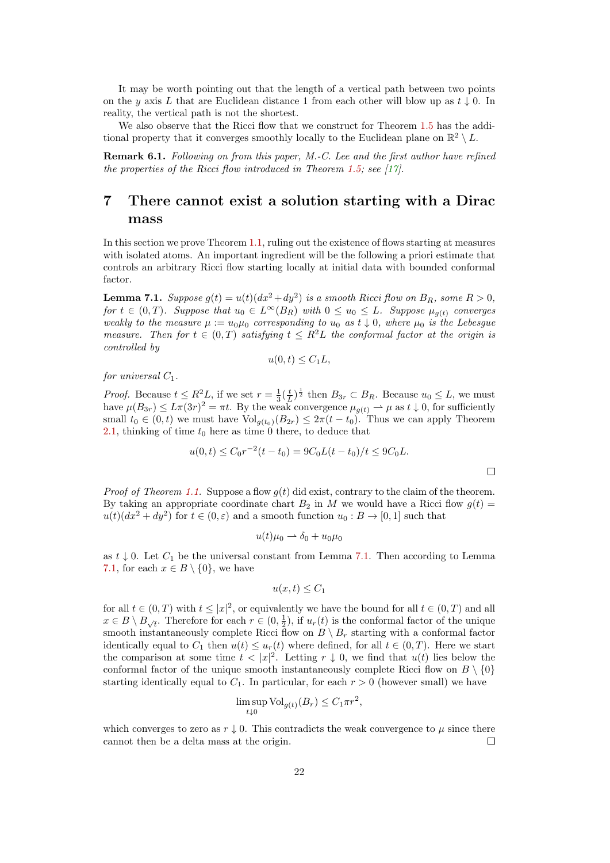It may be worth pointing out that the length of a vertical path between two points on the y axis L that are Euclidean distance 1 from each other will blow up as  $t \downarrow 0$ . In reality, the vertical path is not the shortest.

We also observe that the Ricci flow that we construct for Theorem [1.5](#page-2-0) has the additional property that it converges smoothly locally to the Euclidean plane on  $\mathbb{R}^2 \setminus L$ .

Remark 6.1. Following on from this paper, M.-C. Lee and the first author have refined the properties of the Ricci flow introduced in Theorem [1.5;](#page-2-0) see  $[17]$ .

## 7 There cannot exist a solution starting with a Dirac mass

In this section we prove Theorem [1.1,](#page-1-2) ruling out the existence of flows starting at measures with isolated atoms. An important ingredient will be the following a priori estimate that controls an arbitrary Ricci flow starting locally at initial data with bounded conformal factor.

<span id="page-21-0"></span>**Lemma 7.1.** Suppose  $g(t) = u(t)(dx^2 + dy^2)$  is a smooth Ricci flow on  $B_R$ , some  $R > 0$ , for  $t \in (0,T)$ . Suppose that  $u_0 \in L^{\infty}(B_R)$  with  $0 \le u_0 \le L$ . Suppose  $\mu_{g(t)}$  converges weakly to the measure  $\mu := u_0\mu_0$  corresponding to  $u_0$  as  $t \downarrow 0$ , where  $\mu_0$  is the Lebesgue measure. Then for  $t \in (0,T)$  satisfying  $t \leq R^2L$  the conformal factor at the origin is controlled by

$$
u(0,t)\leq C_1L,
$$

for universal  $C_1$ .

*Proof.* Because  $t \leq R^2 L$ , if we set  $r = \frac{1}{3} (\frac{t}{L})^{\frac{1}{2}}$  then  $B_{3r} \subset B_R$ . Because  $u_0 \leq L$ , we must have  $\mu(B_{3r}) \leq L\pi(3r)^2 = \pi t$ . By the weak convergence  $\mu_{g(t)} \to \mu$  as  $t \downarrow 0$ , for sufficiently small  $t_0 \in (0, t)$  we must have  $\text{Vol}_{g(t_0)}(B_{2r}) \leq 2\pi(t - t_0)$ . Thus we can apply Theorem [2.1,](#page-4-0) thinking of time  $t_0$  here as time 0 there, to deduce that

$$
u(0,t) \le C_0 r^{-2} (t-t_0) = 9C_0 L(t-t_0)/t \le 9C_0 L.
$$

 $\Box$ 

*Proof of Theorem [1.1.](#page-1-2)* Suppose a flow  $q(t)$  did exist, contrary to the claim of the theorem. By taking an appropriate coordinate chart  $B_2$  in M we would have a Ricci flow  $g(t)$  =  $u(t)(dx^2 + dy^2)$  for  $t \in (0, \varepsilon)$  and a smooth function  $u_0 : B \to [0, 1]$  such that

$$
u(t)\mu_0 \rightharpoonup \delta_0 + u_0\mu_0
$$

as  $t \downarrow 0$ . Let  $C_1$  be the universal constant from Lemma [7.1.](#page-21-0) Then according to Lemma [7.1,](#page-21-0) for each  $x \in B \setminus \{0\}$ , we have

$$
u(x,t) \leq C_1
$$

for all  $t \in (0,T)$  with  $t \leq |x|^2$ , or equivalently we have the bound for all  $t \in (0,T)$  and all  $x \in B \setminus B_{\sqrt{t}}$ . Therefore for each  $r \in (0, \frac{1}{2})$ , if  $u_r(t)$  is the conformal factor of the unique smooth instantaneously complete Ricci flow on  $B \setminus B_r$  starting with a conformal factor identically equal to  $C_1$  then  $u(t) \leq u_r(t)$  where defined, for all  $t \in (0,T)$ . Here we start the comparison at some time  $t < |x|^2$ . Letting  $r \downarrow 0$ , we find that  $u(t)$  lies below the conformal factor of the unique smooth instantaneously complete Ricci flow on  $B \setminus \{0\}$ starting identically equal to  $C_1$ . In particular, for each  $r > 0$  (however small) we have

$$
\limsup_{t \downarrow 0} \text{Vol}_{g(t)}(B_r) \le C_1 \pi r^2,
$$

which converges to zero as  $r \downarrow 0$ . This contradicts the weak convergence to  $\mu$  since there cannot then be a delta mass at the origin.  $\Box$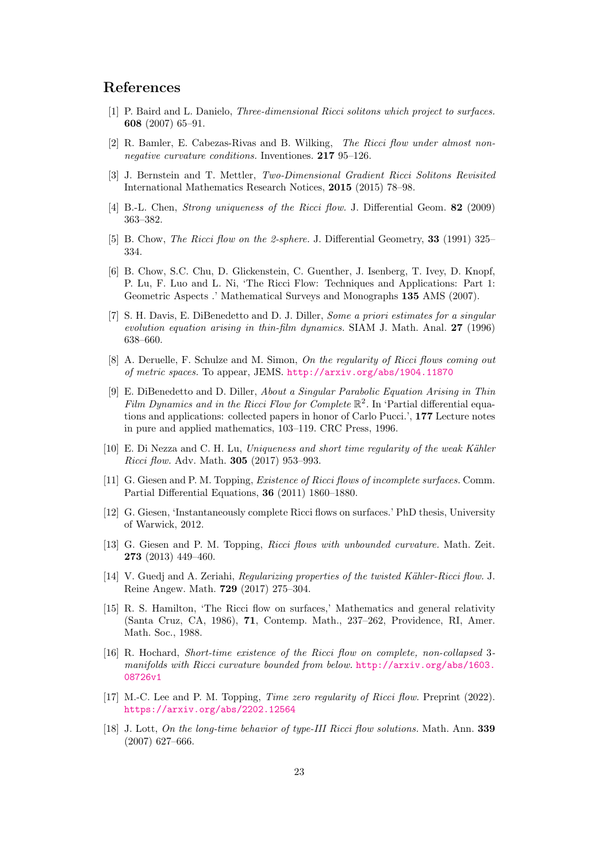## References

- <span id="page-22-14"></span>[1] P. Baird and L. Danielo, Three-dimensional Ricci solitons which project to surfaces. 608 (2007) 65–91.
- <span id="page-22-4"></span>[2] R. Bamler, E. Cabezas-Rivas and B. Wilking, The Ricci flow under almost nonnegative curvature conditions. Inventiones. 217 95–126.
- <span id="page-22-16"></span>[3] J. Bernstein and T. Mettler, Two-Dimensional Gradient Ricci Solitons Revisited International Mathematics Research Notices, 2015 (2015) 78–98.
- <span id="page-22-8"></span>[4] B.-L. Chen, *Strong uniqueness of the Ricci flow.* J. Differential Geom. **82** (2009) 363–382.
- <span id="page-22-11"></span>[5] B. Chow, *The Ricci flow on the 2-sphere.* J. Differential Geometry, **33** (1991) 325– 334.
- <span id="page-22-0"></span>[6] B. Chow, S.C. Chu, D. Glickenstein, C. Guenther, J. Isenberg, T. Ivey, D. Knopf, P. Lu, F. Luo and L. Ni, 'The Ricci Flow: Techniques and Applications: Part 1: Geometric Aspects .' Mathematical Surveys and Monographs 135 AMS (2007).
- <span id="page-22-9"></span>[7] S. H. Davis, E. DiBenedetto and D. J. Diller, Some a priori estimates for a singular evolution equation arising in thin-film dynamics. SIAM J. Math. Anal. 27 (1996) 638–660.
- <span id="page-22-1"></span>[8] A. Deruelle, F. Schulze and M. Simon, On the regularity of Ricci flows coming out of metric spaces. To appear, JEMS. <http://arxiv.org/abs/1904.11870>
- <span id="page-22-12"></span>[9] E. DiBenedetto and D. Diller, About a Singular Parabolic Equation Arising in Thin Film Dynamics and in the Ricci Flow for Complete  $\mathbb{R}^2$ . In 'Partial differential equations and applications: collected papers in honor of Carlo Pucci.', 177 Lecture notes in pure and applied mathematics, 103–119. CRC Press, 1996.
- <span id="page-22-6"></span> $[10]$  E. Di Nezza and C. H. Lu, Uniqueness and short time regularity of the weak Kähler Ricci flow. Adv. Math. 305 (2017) 953–993.
- <span id="page-22-2"></span>[11] G. Giesen and P. M. Topping, *Existence of Ricci flows of incomplete surfaces*. Comm. Partial Differential Equations, 36 (2011) 1860–1880.
- <span id="page-22-13"></span>[12] G. Giesen, 'Instantaneously complete Ricci flows on surfaces.' PhD thesis, University of Warwick, 2012.
- <span id="page-22-7"></span>[13] G. Giesen and P. M. Topping, Ricci flows with unbounded curvature. Math. Zeit. 273 (2013) 449–460.
- <span id="page-22-5"></span>[14] V. Guedj and A. Zeriahi, Regularizing properties of the twisted Kähler-Ricci flow. J. Reine Angew. Math. 729 (2017) 275–304.
- <span id="page-22-10"></span>[15] R. S. Hamilton, 'The Ricci flow on surfaces,' Mathematics and general relativity (Santa Cruz, CA, 1986), 71, Contemp. Math., 237–262, Providence, RI, Amer. Math. Soc., 1988.
- <span id="page-22-3"></span>[16] R. Hochard, Short-time existence of the Ricci flow on complete, non-collapsed 3 manifolds with Ricci curvature bounded from below. [http://arxiv.org/abs/1603.](http://arxiv.org/abs/1603.08726v1) [08726v1](http://arxiv.org/abs/1603.08726v1)
- <span id="page-22-17"></span>[17] M.-C. Lee and P. M. Topping, *Time zero regularity of Ricci flow.* Preprint (2022). <https://arxiv.org/abs/2202.12564>
- <span id="page-22-15"></span>[18] J. Lott, On the long-time behavior of type-III Ricci flow solutions. Math. Ann. 339 (2007) 627–666.